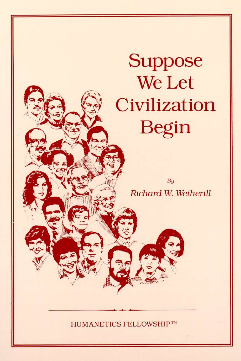# **Suppose** We Let Civilization Begin

 $By$ Richard W. Wetherill

HUMANETICS FELLOWSHIP™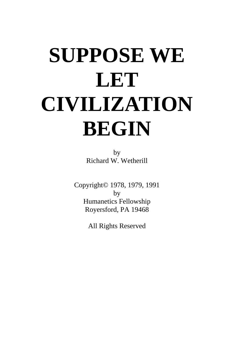# **SUPPOSE WE LET CIVILIZATION BEGIN**

by Richard W. Wetherill

Copyright© 1978, 1979, 1991 by Humanetics Fellowship Royersford, PA 19468

All Rights Reserved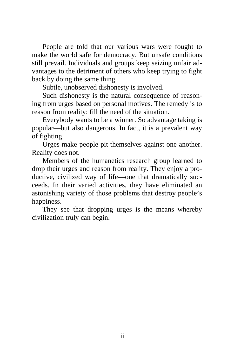People are told that our various wars were fought to make the world safe for democracy. But unsafe conditions still prevail. Individuals and groups keep seizing unfair advantages to the detriment of others who keep trying to fight back by doing the same thing.

Subtle, unobserved dishonesty is involved.

Such dishonesty is the natural consequence of reasoning from urges based on personal motives. The remedy is to reason from reality: fill the need of the situation.

Everybody wants to be a winner. So advantage taking is popular—but also dangerous. In fact, it is a prevalent way of fighting.

Urges make people pit themselves against one another. Reality does not.

Members of the humanetics research group learned to drop their urges and reason from reality. They enjoy a productive, civilized way of life—one that dramatically succeeds. In their varied activities, they have eliminated an astonishing variety of those problems that destroy people's happiness.

They see that dropping urges is the means whereby civilization truly can begin.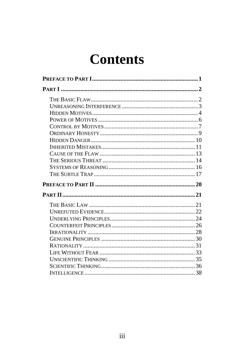## **Contents**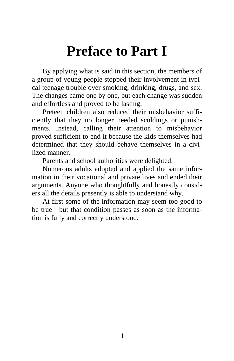## **Preface to Part I**

<span id="page-5-0"></span>By applying what is said in this section, the members of a group of young people stopped their involvement in typical teenage trouble over smoking, drinking, drugs, and sex. The changes came one by one, but each change was sudden and effortless and proved to be lasting.

Preteen children also reduced their misbehavior sufficiently that they no longer needed scoldings or punishments. Instead, calling their attention to misbehavior proved sufficient to end it because the kids themselves had determined that they should behave themselves in a civilized manner.

Parents and school authorities were delighted.

Numerous adults adopted and applied the same information in their vocational and private lives and ended their arguments. Anyone who thoughtfully and honestly considers all the details presently is able to understand why.

At first some of the information may seem too good to be true—but that condition passes as soon as the information is fully and correctly understood.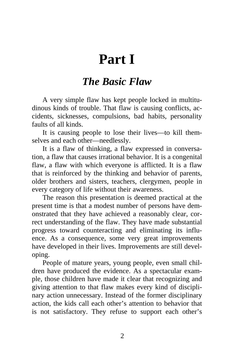## **Part I**

#### *The Basic Flaw*

<span id="page-6-0"></span>A very simple flaw has kept people locked in multitudinous kinds of trouble. That flaw is causing conflicts, accidents, sicknesses, compulsions, bad habits, personality faults of all kinds.

It is causing people to lose their lives—to kill themselves and each other—needlessly.

It is a flaw of thinking, a flaw expressed in conversation, a flaw that causes irrational behavior. It is a congenital flaw, a flaw with which everyone is afflicted. It is a flaw that is reinforced by the thinking and behavior of parents, older brothers and sisters, teachers, clergymen, people in every category of life without their awareness.

The reason this presentation is deemed practical at the present time is that a modest number of persons have demonstrated that they have achieved a reasonably clear, correct understanding of the flaw. They have made substantial progress toward counteracting and eliminating its influence. As a consequence, some very great improvements have developed in their lives. Improvements are still developing.

People of mature years, young people, even small children have produced the evidence. As a spectacular example, those children have made it clear that recognizing and giving attention to that flaw makes every kind of disciplinary action unnecessary. Instead of the former disciplinary action, the kids call each other's attention to behavior that is not satisfactory. They refuse to support each other's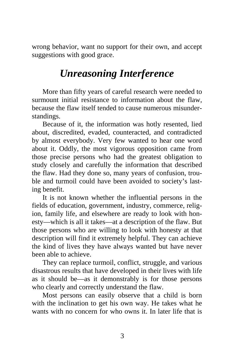<span id="page-7-0"></span>wrong behavior, want no support for their own, and accept suggestions with good grace.

### *Unreasoning Interference*

More than fifty years of careful research were needed to surmount initial resistance to information about the flaw, because the flaw itself tended to cause numerous misunderstandings.

Because of it, the information was hotly resented, lied about, discredited, evaded, counteracted, and contradicted by almost everybody. Very few wanted to hear one word about it. Oddly, the most vigorous opposition came from those precise persons who had the greatest obligation to study closely and carefully the information that described the flaw. Had they done so, many years of confusion, trouble and turmoil could have been avoided to society's lasting benefit.

It is not known whether the influential persons in the fields of education, government, industry, commerce, religion, family life, and elsewhere are ready to look with honesty—which is all it takes—at a description of the flaw. But those persons who are willing to look with honesty at that description will find it extremely helpful. They can achieve the kind of lives they have always wanted but have never been able to achieve.

They can replace turmoil, conflict, struggle, and various disastrous results that have developed in their lives with life as it should be—as it demonstrably is for those persons who clearly and correctly understand the flaw.

Most persons can easily observe that a child is born with the inclination to get his own way. He takes what he wants with no concern for who owns it. In later life that is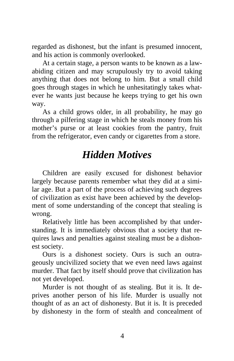<span id="page-8-0"></span>regarded as dishonest, but the infant is presumed innocent, and his action is commonly overlooked.

At a certain stage, a person wants to be known as a lawabiding citizen and may scrupulously try to avoid taking anything that does not belong to him. But a small child goes through stages in which he unhesitatingly takes whatever he wants just because he keeps trying to get his own way.

As a child grows older, in all probability, he may go through a pilfering stage in which he steals money from his mother's purse or at least cookies from the pantry, fruit from the refrigerator, even candy or cigarettes from a store.

#### *Hidden Motives*

Children are easily excused for dishonest behavior largely because parents remember what they did at a similar age. But a part of the process of achieving such degrees of civilization as exist have been achieved by the development of some understanding of the concept that stealing is wrong.

Relatively little has been accomplished by that understanding. It is immediately obvious that a society that requires laws and penalties against stealing must be a dishonest society.

Ours is a dishonest society. Ours is such an outrageously uncivilized society that we even need laws against murder. That fact by itself should prove that civilization has not yet developed.

Murder is not thought of as stealing. But it is. It deprives another person of his life. Murder is usually not thought of as an act of dishonesty. But it is. It is preceded by dishonesty in the form of stealth and concealment of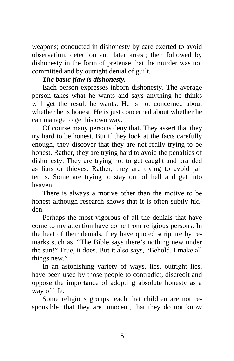weapons; conducted in dishonesty by care exerted to avoid observation, detection and later arrest; then followed by dishonesty in the form of pretense that the murder was not committed and by outright denial of guilt.

#### *The basic flaw is dishonesty.*

Each person expresses inborn dishonesty. The average person takes what he wants and says anything he thinks will get the result he wants. He is not concerned about whether he is honest. He is just concerned about whether he can manage to get his own way.

Of course many persons deny that. They assert that they try hard to be honest. But if they look at the facts carefully enough, they discover that they are not really trying to be honest. Rather, they are trying hard to avoid the penalties of dishonesty. They are trying not to get caught and branded as liars or thieves. Rather, they are trying to avoid jail terms. Some are trying to stay out of hell and get into heaven.

There is always a motive other than the motive to be honest although research shows that it is often subtly hidden.

Perhaps the most vigorous of all the denials that have come to my attention have come from religious persons. In the heat of their denials, they have quoted scripture by remarks such as, "The Bible says there's nothing new under the sun!" True, it does. But it also says, "Behold, I make all things new."

In an astonishing variety of ways, lies, outright lies, have been used by those people to contradict, discredit and oppose the importance of adopting absolute honesty as a way of life.

Some religious groups teach that children are not responsible, that they are innocent, that they do not know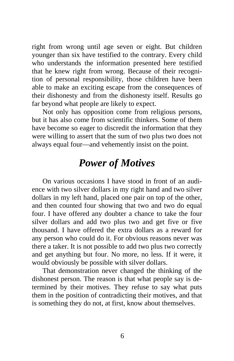<span id="page-10-0"></span>right from wrong until age seven or eight. But children younger than six have testified to the contrary. Every child who understands the information presented here testified that he knew right from wrong. Because of their recognition of personal responsibility, those children have been able to make an exciting escape from the consequences of their dishonesty and from the dishonesty itself. Results go far beyond what people are likely to expect.

Not only has opposition come from religious persons, but it has also come from scientific thinkers. Some of them have become so eager to discredit the information that they were willing to assert that the sum of two plus two does not always equal four—and vehemently insist on the point.

#### *Power of Motives*

On various occasions I have stood in front of an audience with two silver dollars in my right hand and two silver dollars in my left hand, placed one pair on top of the other, and then counted four showing that two and two do equal four. I have offered any doubter a chance to take the four silver dollars and add two plus two and get five or five thousand. I have offered the extra dollars as a reward for any person who could do it. For obvious reasons never was there a taker. It is not possible to add two plus two correctly and get anything but four. No more, no less. If it were, it would obviously be possible with silver dollars.

That demonstration never changed the thinking of the dishonest person. The reason is that what people say is determined by their motives. They refuse to say what puts them in the position of contradicting their motives, and that is something they do not, at first, know about themselves.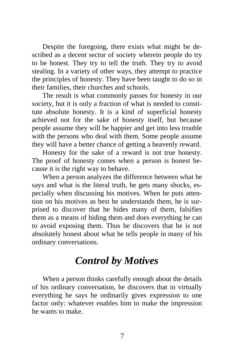<span id="page-11-0"></span>Despite the foregoing, there exists what might be described as a decent sector of society wherein people do try to be honest. They try to tell the truth. They try to avoid stealing. In a variety of other ways, they attempt to practice the principles of honesty. They have been taught to do so in their families, their churches and schools.

The result is what commonly passes for honesty in our society, but it is only a fraction of what is needed to constitute absolute honesty. It is a kind of superficial honesty achieved not for the sake of honesty itself, but because people assume they will be happier and get into less trouble with the persons who deal with them. Some people assume they will have a better chance of getting a heavenly reward.

Honesty for the sake of a reward is not true honesty. The proof of honesty comes when a person is honest because it is the right way to behave.

When a person analyzes the difference between what he says and what is the literal truth, he gets many shocks, especially when discussing his motives. When he puts attention on his motives as best he understands them, he is surprised to discover that he hides many of them, falsifies them as a means of hiding them and does everything he can to avoid exposing them. Thus he discovers that he is not absolutely honest about what he tells people in many of his ordinary conversations.

#### *Control by Motives*

When a person thinks carefully enough about the details of his ordinary conversation, he discovers that in virtually everything he says he ordinarily gives expression to one factor only: whatever enables him to make the impression he wants to make.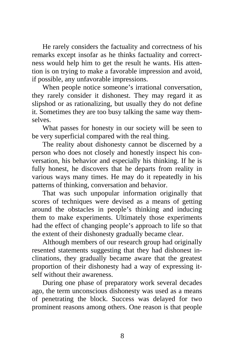He rarely considers the factuality and correctness of his remarks except insofar as he thinks factuality and correctness would help him to get the result he wants. His attention is on trying to make a favorable impression and avoid, if possible, any unfavorable impressions.

When people notice someone's irrational conversation, they rarely consider it dishonest. They may regard it as slipshod or as rationalizing, but usually they do not define it. Sometimes they are too busy talking the same way themselves.

What passes for honesty in our society will be seen to be very superficial compared with the real thing.

The reality about dishonesty cannot be discerned by a person who does not closely and honestly inspect his conversation, his behavior and especially his thinking. If he is fully honest, he discovers that he departs from reality in various ways many times. He may do it repeatedly in his patterns of thinking, conversation and behavior.

That was such unpopular information originally that scores of techniques were devised as a means of getting around the obstacles in people's thinking and inducing them to make experiments. Ultimately those experiments had the effect of changing people's approach to life so that the extent of their dishonesty gradually became clear.

Although members of our research group had originally resented statements suggesting that they had dishonest inclinations, they gradually became aware that the greatest proportion of their dishonesty had a way of expressing itself without their awareness.

During one phase of preparatory work several decades ago, the term unconscious dishonesty was used as a means of penetrating the block. Success was delayed for two prominent reasons among others. One reason is that people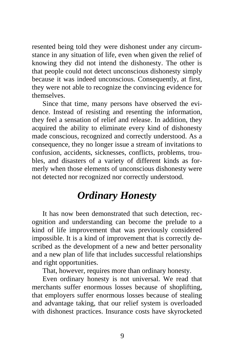<span id="page-13-0"></span>resented being told they were dishonest under any circumstance in any situation of life, even when given the relief of knowing they did not intend the dishonesty. The other is that people could not detect unconscious dishonesty simply because it was indeed unconscious. Consequently, at first, they were not able to recognize the convincing evidence for themselves.

Since that time, many persons have observed the evidence. Instead of resisting and resenting the information, they feel a sensation of relief and release. In addition, they acquired the ability to eliminate every kind of dishonesty made conscious, recognized and correctly understood. As a consequence, they no longer issue a stream of invitations to confusion, accidents, sicknesses, conflicts, problems, troubles, and disasters of a variety of different kinds as formerly when those elements of unconscious dishonesty were not detected nor recognized nor correctly understood.

### *Ordinary Honesty*

It has now been demonstrated that such detection, recognition and understanding can become the prelude to a kind of life improvement that was previously considered impossible. It is a kind of improvement that is correctly described as the development of a new and better personality and a new plan of life that includes successful relationships and right opportunities.

That, however, requires more than ordinary honesty.

Even ordinary honesty is not universal. We read that merchants suffer enormous losses because of shoplifting, that employers suffer enormous losses because of stealing and advantage taking, that our relief system is overloaded with dishonest practices. Insurance costs have skyrocketed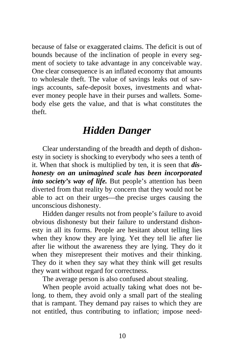<span id="page-14-0"></span>because of false or exaggerated claims. The deficit is out of bounds because of the inclination of people in every segment of society to take advantage in any conceivable way. One clear consequence is an inflated economy that amounts to wholesale theft. The value of savings leaks out of savings accounts, safe-deposit boxes, investments and whatever money people have in their purses and wallets. Somebody else gets the value, and that is what constitutes the theft.

#### *Hidden Danger*

Clear understanding of the breadth and depth of dishonesty in society is shocking to everybody who sees a tenth of it. When that shock is multiplied by ten, it is seen that *dishonesty on an unimagined scale has been incorporated into society's way of life.* But people's attention has been diverted from that reality by concern that they would not be able to act on their urges—the precise urges causing the unconscious dishonesty.

Hidden danger results not from people's failure to avoid obvious dishonesty but their failure to understand dishonesty in all its forms. People are hesitant about telling lies when they know they are lying. Yet they tell lie after lie after lie without the awareness they are lying. They do it when they misrepresent their motives and their thinking. They do it when they say what they think will get results they want without regard for correctness.

The average person is also confused about stealing.

When people avoid actually taking what does not belong. to them, they avoid only a small part of the stealing that is rampant. They demand pay raises to which they are not entitled, thus contributing to inflation; impose need-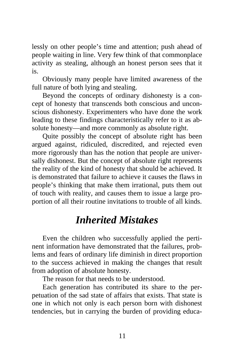<span id="page-15-0"></span>lessly on other people's time and attention; push ahead of people waiting in line. Very few think of that commonplace activity as stealing, although an honest person sees that it is.

Obviously many people have limited awareness of the full nature of both lying and stealing.

Beyond the concepts of ordinary dishonesty is a concept of honesty that transcends both conscious and unconscious dishonesty. Experimenters who have done the work leading to these findings characteristically refer to it as absolute honesty—and more commonly as absolute right.

Quite possibly the concept of absolute right has been argued against, ridiculed, discredited, and rejected even more rigorously than has the notion that people are universally dishonest. But the concept of absolute right represents the reality of the kind of honesty that should be achieved. It is demonstrated that failure to achieve it causes the flaws in people's thinking that make them irrational, puts them out of touch with reality, and causes them to issue a large proportion of all their routine invitations to trouble of all kinds.

#### *Inherited Mistakes*

Even the children who successfully applied the pertinent information have demonstrated that the failures, problems and fears of ordinary life diminish in direct proportion to the success achieved in making the changes that result from adoption of absolute honesty.

The reason for that needs to be understood.

Each generation has contributed its share to the perpetuation of the sad state of affairs that exists. That state is one in which not only is each person born with dishonest tendencies, but in carrying the burden of providing educa-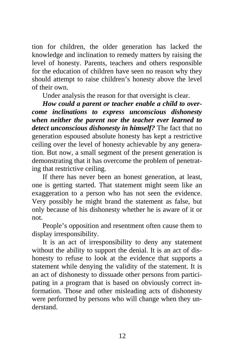tion for children, the older generation has lacked the knowledge and inclination to remedy matters by raising the level of honesty. Parents, teachers and others responsible for the education of children have seen no reason why they should attempt to raise children's honesty above the level of their own.

Under analysis the reason for that oversight is clear.

*How could a parent or teacher enable a child to overcome inclinations to express unconscious dishonesty when neither the parent nor the teacher ever learned to detect unconscious dishonesty in himself?* The fact that no generation espoused absolute honesty has kept a restrictive ceiling over the level of honesty achievable by any generation. But now, a small segment of the present generation is demonstrating that it has overcome the problem of penetrating that restrictive ceiling.

If there has never been an honest generation, at least, one is getting started. That statement might seem like an exaggeration to a person who has not seen the evidence. Very possibly he might brand the statement as false, but only because of his dishonesty whether he is aware of it or not.

People's opposition and resentment often cause them to display irresponsibility.

It is an act of irresponsibility to deny any statement without the ability to support the denial. It is an act of dishonesty to refuse to look at the evidence that supports a statement while denying the validity of the statement. It is an act of dishonesty to dissuade other persons from participating in a program that is based on obviously correct information. Those and other misleading acts of dishonesty were performed by persons who will change when they understand.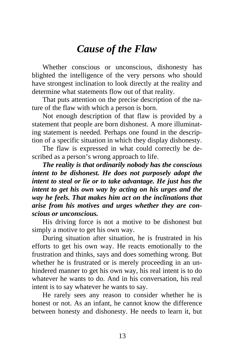#### *Cause of the Flaw*

<span id="page-17-0"></span>Whether conscious or unconscious, dishonesty has blighted the intelligence of the very persons who should have strongest inclination to look directly at the reality and determine what statements flow out of that reality.

That puts attention on the precise description of the nature of the flaw with which a person is born.

Not enough description of that flaw is provided by a statement that people are born dishonest. A more illuminating statement is needed. Perhaps one found in the description of a specific situation in which they display dishonesty.

The flaw is expressed in what could correctly be described as a person's wrong approach to life.

*The reality is that ordinarily nobody has the conscious intent to be dishonest. He does not purposely adopt the intent to steal or lie or to take advantage. He just has the intent to get his own way by acting on his urges and the way he feels. That makes him act on the inclinations that arise from his motives and urges whether they are conscious or unconscious.* 

His driving force is not a motive to be dishonest but simply a motive to get his own way.

During situation after situation, he is frustrated in his efforts to get his own way. He reacts emotionally to the frustration and thinks, says and does something wrong. But whether he is frustrated or is merely proceeding in an unhindered manner to get his own way, his real intent is to do whatever he wants to do. And in his conversation, his real intent is to say whatever he wants to say.

He rarely sees any reason to consider whether he is honest or not. As an infant, he cannot know the difference between honesty and dishonesty. He needs to learn it, but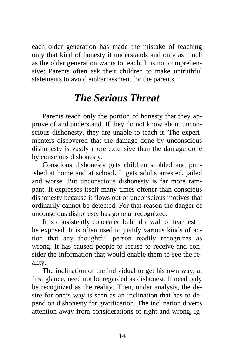<span id="page-18-0"></span>each older generation has made the mistake of teaching only that kind of honesty it understands and only as much as the older generation wants to teach. It is not comprehensive: Parents often ask their children to make untruthful statements to avoid embarrassment for the parents.

#### *The Serious Threat*

Parents teach only the portion of honesty that they approve of and understand. If they do not know about unconscious dishonesty, they are unable to teach it. The experimenters discovered that the damage done by unconscious dishonesty is vastly more extensive than the damage done by conscious dishonesty.

Conscious dishonesty gets children scolded and punished at home and at school. It gets adults arrested, jailed and worse. But unconscious dishonesty is far more rampant. It expresses itself many times oftener than conscious dishonesty because it flows out of unconscious motives that ordinarily cannot be detected. For that reason the danger of unconscious dishonesty has gone unrecognized.

It is consistently concealed behind a wall of fear lest it be exposed. It is often used to justify various kinds of action that any thoughtful person readily recognizes as wrong. It has caused people to refuse to receive and consider the information that would enable them to see the reality.

The inclination of the individual to get his own way, at first glance, need not be regarded as dishonest. It need only be recognized as the reality. Then, under analysis, the desire for one's way is seen as an inclination that has to depend on dishonesty for gratification. The inclination diverts attention away from considerations of right and wrong, ig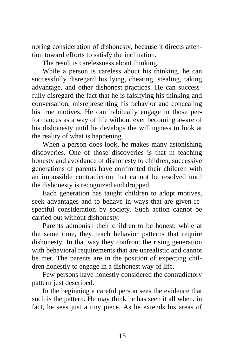noring consideration of dishonesty, because it directs attention toward efforts to satisfy the inclination.

The result is carelessness about thinking.

While a person is careless about his thinking, he can successfully disregard his lying, cheating, stealing, taking advantage, and other dishonest practices. He can successfully disregard the fact that he is falsifying his thinking and conversation, misrepresenting his behavior and concealing his true motives. He can habitually engage in those performances as a way of life without ever becoming aware of his dishonesty until he develops the willingness to look at the reality of what is happening.

When a person does look, he makes many astonishing discoveries. One of those discoveries is that in teaching honesty and avoidance of dishonesty to children, successive generations of parents have confronted their children with an impossible contradiction that cannot be resolved until the dishonesty is recognized and dropped.

Each generation has taught children to adopt motives, seek advantages and to behave in ways that are given respectful consideration by society. Such action cannot be carried out without dishonesty.

Parents admonish their children to be honest, while at the same time, they teach behavior patterns that require dishonesty. In that way they confront the rising generation with behavioral requirements that are unrealistic and cannot be met. The parents are in the position of expecting children honestly to engage in a dishonest way of life.

Few persons have honestly considered the contradictory pattern just described.

In the beginning a careful person sees the evidence that such is the pattern. He may think he has seen it all when, in fact, he sees just a tiny piece. As he extends his areas of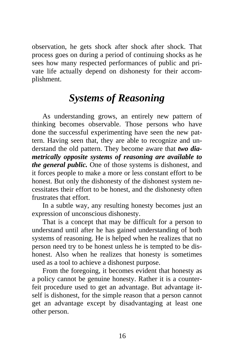<span id="page-20-0"></span>observation, he gets shock after shock after shock. That process goes on during a period of continuing shocks as he sees how many respected performances of public and private life actually depend on dishonesty for their accomplishment.

#### *Systems of Reasoning*

As understanding grows, an entirely new pattern of thinking becomes observable. Those persons who have done the successful experimenting have seen the new pattern. Having seen that, they are able to recognize and understand the old pattern. They become aware that *two diametrically opposite systems of reasoning are available to the general public.* One of those systems is dishonest, and it forces people to make a more or less constant effort to be honest. But only the dishonesty of the dishonest system necessitates their effort to be honest, and the dishonesty often frustrates that effort.

In a subtle way, any resulting honesty becomes just an expression of unconscious dishonesty.

That is a concept that may be difficult for a person to understand until after he has gained understanding of both systems of reasoning. He is helped when he realizes that no person need try to be honest unless he is tempted to be dishonest. Also when he realizes that honesty is sometimes used as a tool to achieve a dishonest purpose.

From the foregoing, it becomes evident that honesty as a policy cannot be genuine honesty. Rather it is a counterfeit procedure used to get an advantage. But advantage itself is dishonest, for the simple reason that a person cannot get an advantage except by disadvantaging at least one other person.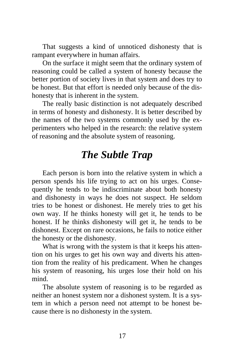<span id="page-21-0"></span>That suggests a kind of unnoticed dishonesty that is rampant everywhere in human affairs.

On the surface it might seem that the ordinary system of reasoning could be called a system of honesty because the better portion of society lives in that system and does try to be honest. But that effort is needed only because of the dishonesty that is inherent in the system.

The really basic distinction is not adequately described in terms of honesty and dishonesty. It is better described by the names of the two systems commonly used by the experimenters who helped in the research: the relative system of reasoning and the absolute system of reasoning.

#### *The Subtle Trap*

Each person is born into the relative system in which a person spends his life trying to act on his urges. Consequently he tends to be indiscriminate about both honesty and dishonesty in ways he does not suspect. He seldom tries to be honest or dishonest. He merely tries to get his own way. If he thinks honesty will get it, he tends to be honest. If he thinks dishonesty will get it, he tends to be dishonest. Except on rare occasions, he fails to notice either the honesty or the dishonesty.

What is wrong with the system is that it keeps his attention on his urges to get his own way and diverts his attention from the reality of his predicament. When he changes his system of reasoning, his urges lose their hold on his mind.

The absolute system of reasoning is to be regarded as neither an honest system nor a dishonest system. It is a system in which a person need not attempt to be honest because there is no dishonesty in the system.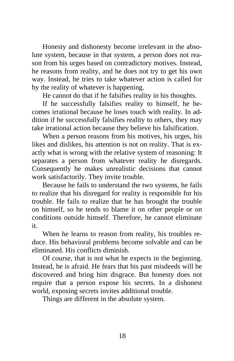Honesty and dishonesty become irrelevant in the absolute system, because in that system, a person does not reason from his urges based on contradictory motives. Instead, he reasons from reality, and he does not try to get his own way. Instead, he tries to take whatever action is called for by the reality of whatever is happening.

He cannot do that if he falsifies reality in his thoughts.

If he successfully falsifies reality to himself, he becomes irrational because he loses touch with reality. In addition if he successfully falsifies reality to others, they may take irrational action because they believe his falsification.

When a person reasons from his motives, his urges, his likes and dislikes, his attention is not on reality. That is exactly what is wrong with the relative system of reasoning: It separates a person from whatever reality he disregards. Consequently he makes unrealistic decisions that cannot work satisfactorily. They invite trouble.

Because he fails to understand the two systems, he fails to realize that his disregard for reality is responsible for his trouble. He fails to realize that he has brought the trouble on himself, so he tends to blame it on other people or on conditions outside himself. Therefore, he cannot eliminate it.

When he learns to reason from reality, his troubles reduce. His behavioral problems become solvable and can be eliminated. His conflicts diminish.

Of course, that is not what he expects in the beginning. Instead, he is afraid. He fears that his past misdeeds will be discovered and bring him disgrace. But honesty does not require that a person expose his secrets. In a dishonest world, exposing secrets invites additional trouble.

Things are different in the absolute system.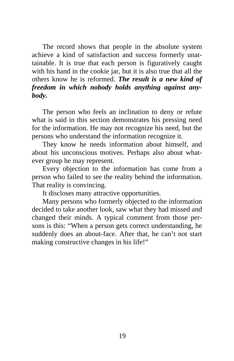The record shows that people in the absolute system achieve a kind of satisfaction and success formerly unattainable. It is true that each person is figuratively caught with his hand in the cookie jar, but it is also true that all the others know he is reformed. *The result is a new kind of freedom in which nobody holds anything against anybody.*

The person who feels an inclination to deny or refute what is said in this section demonstrates his pressing need for the information. He may not recognize his need, but the persons who understand the information recognize it.

They know he needs information about himself, and about his unconscious motives. Perhaps also about whatever group he may represent.

Every objection to the information has come from a person who failed to see the reality behind the information. That reality is convincing.

It discloses many attractive opportunities.

Many persons who formerly objected to the information decided to take another look, saw what they had missed and changed their minds. A typical comment from those persons is this: "When a person gets correct understanding, he suddenly does an about-face. After that, he can't not start making constructive changes in his life!"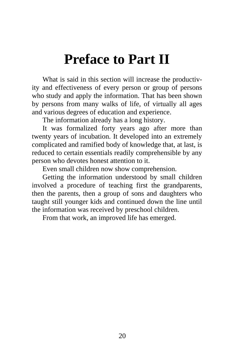## <span id="page-24-0"></span>**Preface to Part II**

What is said in this section will increase the productivity and effectiveness of every person or group of persons who study and apply the information. That has been shown by persons from many walks of life, of virtually all ages and various degrees of education and experience.

The information already has a long history.

It was formalized forty years ago after more than twenty years of incubation. It developed into an extremely complicated and ramified body of knowledge that, at last, is reduced to certain essentials readily comprehensible by any person who devotes honest attention to it.

Even small children now show comprehension.

Getting the information understood by small children involved a procedure of teaching first the grandparents, then the parents, then a group of sons and daughters who taught still younger kids and continued down the line until the information was received by preschool children.

From that work, an improved life has emerged.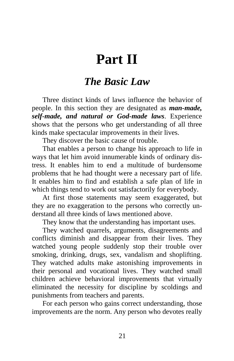## **Part II**

#### *The Basic Law*

<span id="page-25-0"></span>Three distinct kinds of laws influence the behavior of people. In this section they are designated as *man-made, self-made, and natural or God-made laws*. Experience shows that the persons who get understanding of all three kinds make spectacular improvements in their lives.

They discover the basic cause of trouble.

That enables a person to change his approach to life in ways that let him avoid innumerable kinds of ordinary distress. It enables him to end a multitude of burdensome problems that he had thought were a necessary part of life. It enables him to find and establish a safe plan of life in which things tend to work out satisfactorily for everybody.

At first those statements may seem exaggerated, but they are no exaggeration to the persons who correctly understand all three kinds of laws mentioned above.

They know that the understanding has important uses.

They watched quarrels, arguments, disagreements and conflicts diminish and disappear from their lives. They watched young people suddenly stop their trouble over smoking, drinking, drugs, sex, vandalism and shoplifting. They watched adults make astonishing improvements in their personal and vocational lives. They watched small children achieve behavioral improvements that virtually eliminated the necessity for discipline by scoldings and punishments from teachers and parents.

For each person who gains correct understanding, those improvements are the norm. Any person who devotes really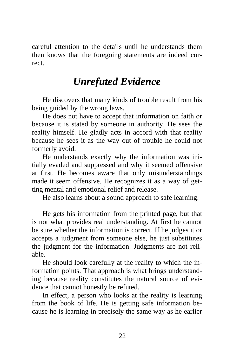<span id="page-26-0"></span>careful attention to the details until he understands them then knows that the foregoing statements are indeed correct.

#### *Unrefuted Evidence*

He discovers that many kinds of trouble result from his being guided by the wrong laws.

He does not have to accept that information on faith or because it is stated by someone in authority. He sees the reality himself. He gladly acts in accord with that reality because he sees it as the way out of trouble he could not formerly avoid.

He understands exactly why the information was initially evaded and suppressed and why it seemed offensive at first. He becomes aware that only misunderstandings made it seem offensive. He recognizes it as a way of getting mental and emotional relief and release.

He also learns about a sound approach to safe learning.

He gets his information from the printed page, but that is not what provides real understanding. At first he cannot be sure whether the information is correct. If he judges it or accepts a judgment from someone else, he just substitutes the judgment for the information. Judgments are not reliable.

He should look carefully at the reality to which the information points. That approach is what brings understanding because reality constitutes the natural source of evidence that cannot honestly be refuted.

In effect, a person who looks at the reality is learning from the book of life. He is getting safe information because he is learning in precisely the same way as he earlier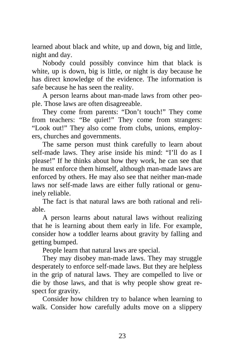learned about black and white, up and down, big and little, night and day.

Nobody could possibly convince him that black is white, up is down, big is little, or night is day because he has direct knowledge of the evidence. The information is safe because he has seen the reality.

A person learns about man-made laws from other people. Those laws are often disagreeable.

They come from parents: "Don't touch!" They come from teachers: "Be quiet!" They come from strangers: "Look out!" They also come from clubs, unions, employers, churches and governments.

The same person must think carefully to learn about self-made laws. They arise inside his mind: "I'll do as I please!" If he thinks about how they work, he can see that he must enforce them himself, although man-made laws are enforced by others. He may also see that neither man-made laws nor self-made laws are either fully rational or genuinely reliable.

The fact is that natural laws are both rational and reliable.

A person learns about natural laws without realizing that he is learning about them early in life. For example, consider how a toddler learns about gravity by falling and getting bumped.

People learn that natural laws are special.

They may disobey man-made laws. They may struggle desperately to enforce self-made laws. But they are helpless in the grip of natural laws. They are compelled to live or die by those laws, and that is why people show great respect for gravity.

Consider how children try to balance when learning to walk. Consider how carefully adults move on a slippery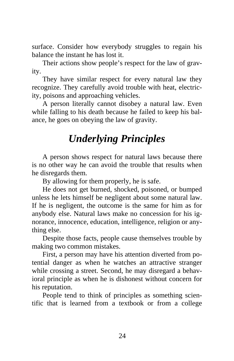<span id="page-28-0"></span>surface. Consider how everybody struggles to regain his balance the instant he has lost it.

Their actions show people's respect for the law of gravity.

They have similar respect for every natural law they recognize. They carefully avoid trouble with heat, electricity, poisons and approaching vehicles.

A person literally cannot disobey a natural law. Even while falling to his death because he failed to keep his balance, he goes on obeying the law of gravity.

### *Underlying Principles*

A person shows respect for natural laws because there is no other way he can avoid the trouble that results when he disregards them.

By allowing for them properly, he is safe.

He does not get burned, shocked, poisoned, or bumped unless he lets himself be negligent about some natural law. If he is negligent, the outcome is the same for him as for anybody else. Natural laws make no concession for his ignorance, innocence, education, intelligence, religion or anything else.

Despite those facts, people cause themselves trouble by making two common mistakes.

First, a person may have his attention diverted from potential danger as when he watches an attractive stranger while crossing a street. Second, he may disregard a behavioral principle as when he is dishonest without concern for his reputation.

People tend to think of principles as something scientific that is learned from a textbook or from a college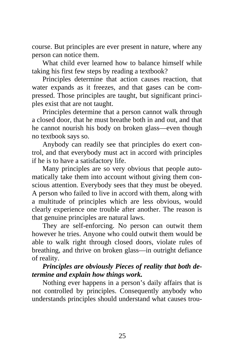course. But principles are ever present in nature, where any person can notice them.

What child ever learned how to balance himself while taking his first few steps by reading a textbook?

Principles determine that action causes reaction, that water expands as it freezes, and that gases can be compressed. Those principles are taught, but significant principles exist that are not taught.

Principles determine that a person cannot walk through a closed door, that he must breathe both in and out, and that he cannot nourish his body on broken glass—even though no textbook says so.

Anybody can readily see that principles do exert control, and that everybody must act in accord with principles if he is to have a satisfactory life.

Many principles are so very obvious that people automatically take them into account without giving them conscious attention. Everybody sees that they must be obeyed. A person who failed to live in accord with them, along with a multitude of principles which are less obvious, would clearly experience one trouble after another. The reason is that genuine principles are natural laws.

They are self-enforcing. No person can outwit them however he tries. Anyone who could outwit them would be able to walk right through closed doors, violate rules of breathing, and thrive on broken glass—in outright defiance of reality.

#### *Principles are obviously Pieces of reality that both determine and explain how things work.*

Nothing ever happens in a person's daily affairs that is not controlled by principles. Consequently anybody who understands principles should understand what causes trou-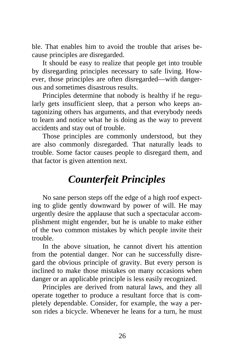<span id="page-30-0"></span>ble. That enables him to avoid the trouble that arises because principles are disregarded.

It should be easy to realize that people get into trouble by disregarding principles necessary to safe living. However, those principles are often disregarded—with dangerous and sometimes disastrous results.

Principles determine that nobody is healthy if he regularly gets insufficient sleep, that a person who keeps antagonizing others has arguments, and that everybody needs to learn and notice what he is doing as the way to prevent accidents and stay out of trouble.

Those principles are commonly understood, but they are also commonly disregarded. That naturally leads to trouble. Some factor causes people to disregard them, and that factor is given attention next.

### *Counterfeit Principles*

No sane person steps off the edge of a high roof expecting to glide gently downward by power of will. He may urgently desire the applause that such a spectacular accomplishment might engender, but he is unable to make either of the two common mistakes by which people invite their trouble.

In the above situation, he cannot divert his attention from the potential danger. Nor can he successfully disregard the obvious principle of gravity. But every person is inclined to make those mistakes on many occasions when danger or an applicable principle is less easily recognized.

Principles are derived from natural laws, and they all operate together to produce a resultant force that is completely dependable. Consider, for example, the way a person rides a bicycle. Whenever he leans for a turn, he must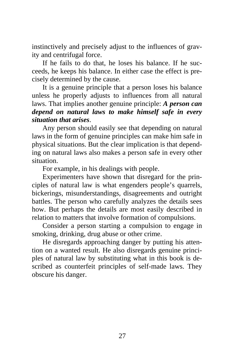instinctively and precisely adjust to the influences of gravity and centrifugal force.

If he fails to do that, he loses his balance. If he succeeds, he keeps his balance. In either case the effect is precisely determined by the cause.

It is a genuine principle that a person loses his balance unless he properly adjusts to influences from all natural laws. That implies another genuine principle: *A person can depend on natural laws to make himself safe in every situation that arises*.

Any person should easily see that depending on natural laws in the form of genuine principles can make him safe in physical situations. But the clear implication is that depending on natural laws also makes a person safe in every other situation.

For example, in his dealings with people.

Experimenters have shown that disregard for the principles of natural law is what engenders people's quarrels, bickerings, misunderstandings, disagreements and outright battles. The person who carefully analyzes the details sees how. But perhaps the details are most easily described in relation to matters that involve formation of compulsions.

Consider a person starting a compulsion to engage in smoking, drinking, drug abuse or other crime.

He disregards approaching danger by putting his attention on a wanted result. He also disregards genuine principles of natural law by substituting what in this book is described as counterfeit principles of self-made laws. They obscure his danger.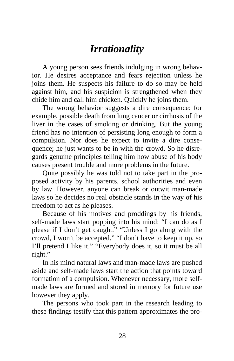### *Irrationality*

<span id="page-32-0"></span>A young person sees friends indulging in wrong behavior. He desires acceptance and fears rejection unless he joins them. He suspects his failure to do so may be held against him, and his suspicion is strengthened when they chide him and call him chicken. Quickly he joins them.

The wrong behavior suggests a dire consequence: for example, possible death from lung cancer or cirrhosis of the liver in the cases of smoking or drinking. But the young friend has no intention of persisting long enough to form a compulsion. Nor does he expect to invite a dire consequence; he just wants to be in with the crowd. So he disregards genuine principles telling him how abuse of his body causes present trouble and more problems in the future.

Quite possibly he was told not to take part in the proposed activity by his parents, school authorities and even by law. However, anyone can break or outwit man-made laws so he decides no real obstacle stands in the way of his freedom to act as he pleases.

Because of his motives and proddings by his friends, self-made laws start popping into his mind: "I can do as I please if I don't get caught." "Unless I go along with the crowd, I won't be accepted." "I don't have to keep it up, so I'll pretend I like it." "Everybody does it, so it must be all right."

In his mind natural laws and man-made laws are pushed aside and self-made laws start the action that points toward formation of a compulsion. Whenever necessary, more selfmade laws are formed and stored in memory for future use however they apply.

The persons who took part in the research leading to these findings testify that this pattern approximates the pro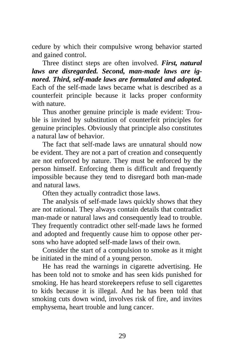cedure by which their compulsive wrong behavior started and gained control.

Three distinct steps are often involved. *First, natural laws are disregarded. Second, man-made laws are ignored. Third, self-made laws are formulated and adopted.* Each of the self-made laws became what is described as a counterfeit principle because it lacks proper conformity with nature.

Thus another genuine principle is made evident: Trouble is invited by substitution of counterfeit principles for genuine principles. Obviously that principle also constitutes a natural law of behavior.

The fact that self-made laws are unnatural should now be evident. They are not a part of creation and consequently are not enforced by nature. They must be enforced by the person himself. Enforcing them is difficult and frequently impossible because they tend to disregard both man-made and natural laws.

Often they actually contradict those laws.

The analysis of self-made laws quickly shows that they are not rational. They always contain details that contradict man-made or natural laws and consequently lead to trouble. They frequently contradict other self-made laws he formed and adopted and frequently cause him to oppose other persons who have adopted self-made laws of their own.

Consider the start of a compulsion to smoke as it might be initiated in the mind of a young person.

He has read the warnings in cigarette advertising. He has been told not to smoke and has seen kids punished for smoking. He has heard storekeepers refuse to sell cigarettes to kids because it is illegal. And he has been told that smoking cuts down wind, involves risk of fire, and invites emphysema, heart trouble and lung cancer.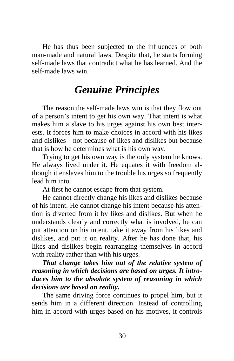<span id="page-34-0"></span>He has thus been subjected to the influences of both man-made and natural laws. Despite that, he starts forming self-made laws that contradict what he has learned. And the self-made laws win.

#### *Genuine Principles*

The reason the self-made laws win is that they flow out of a person's intent to get his own way. That intent is what makes him a slave to his urges against his own best interests. It forces him to make choices in accord with his likes and dislikes—not because of likes and dislikes but because that is how he determines what is his own way.

Trying to get his own way is the only system he knows. He always lived under it. He equates it with freedom although it enslaves him to the trouble his urges so frequently lead him into.

At first he cannot escape from that system.

He cannot directly change his likes and dislikes because of his intent. He cannot change his intent because his attention is diverted from it by likes and dislikes. But when he understands clearly and correctly what is involved, he can put attention on his intent, take it away from his likes and dislikes, and put it on reality. After he has done that, his likes and dislikes begin rearranging themselves in accord with reality rather than with his urges.

*That change takes him out of the relative system of reasoning in which decisions are based on urges. It introduces him to the absolute system of reasoning in which decisions are based on reality.* 

The same driving force continues to propel him, but it sends him in a different direction. Instead of controlling him in accord with urges based on his motives, it controls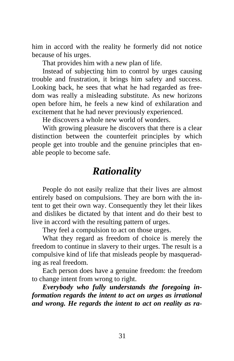<span id="page-35-0"></span>him in accord with the reality he formerly did not notice because of his urges.

That provides him with a new plan of life.

Instead of subjecting him to control by urges causing trouble and frustration, it brings him safety and success. Looking back, he sees that what he had regarded as freedom was really a misleading substitute. As new horizons open before him, he feels a new kind of exhilaration and excitement that he had never previously experienced.

He discovers a whole new world of wonders.

With growing pleasure he discovers that there is a clear distinction between the counterfeit principles by which people get into trouble and the genuine principles that enable people to become safe.

#### *Rationality*

People do not easily realize that their lives are almost entirely based on compulsions. They are born with the intent to get their own way. Consequently they let their likes and dislikes be dictated by that intent and do their best to live in accord with the resulting pattern of urges.

They feel a compulsion to act on those urges.

What they regard as freedom of choice is merely the freedom to continue in slavery to their urges. The result is a compulsive kind of life that misleads people by masquerading as real freedom.

Each person does have a genuine freedom: the freedom to change intent from wrong to right.

*Everybody who fully understands the foregoing information regards the intent to act on urges as irrational and wrong. He regards the intent to act on reality as ra-*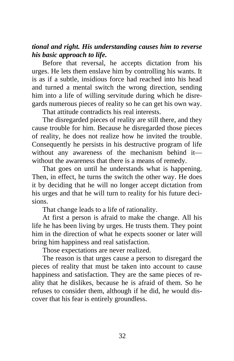#### *tional and right. His understanding causes him to reverse his basic approach to life.*

Before that reversal, he accepts dictation from his urges. He lets them enslave him by controlling his wants. It is as if a subtle, insidious force had reached into his head and turned a mental switch the wrong direction, sending him into a life of willing servitude during which he disregards numerous pieces of reality so he can get his own way.

That attitude contradicts his real interests.

The disregarded pieces of reality are still there, and they cause trouble for him. Because he disregarded those pieces of reality, he does not realize how he invited the trouble. Consequently he persists in his destructive program of life without any awareness of the mechanism behind it without the awareness that there is a means of remedy.

That goes on until he understands what is happening. Then, in effect, he turns the switch the other way. He does it by deciding that he will no longer accept dictation from his urges and that he will turn to reality for his future decisions.

That change leads to a life of rationality.

At first a person is afraid to make the change. All his life he has been living by urges. He trusts them. They point him in the direction of what he expects sooner or later will bring him happiness and real satisfaction.

Those expectations are never realized.

The reason is that urges cause a person to disregard the pieces of reality that must be taken into account to cause happiness and satisfaction. They are the same pieces of reality that he dislikes, because he is afraid of them. So he refuses to consider them, although if he did, he would discover that his fear is entirely groundless.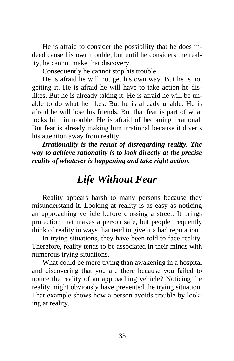He is afraid to consider the possibility that he does indeed cause his own trouble, but until he considers the reality, he cannot make that discovery.

Consequently he cannot stop his trouble.

He is afraid he will not get his own way. But he is not getting it. He is afraid he will have to take action he dislikes. But he is already taking it. He is afraid he will be unable to do what he likes. But he is already unable. He is afraid he will lose his friends. But that fear is part of what locks him in trouble. He is afraid of becoming irrational. But fear is already making him irrational because it diverts his attention away from reality.

*Irrationality is the result of disregarding reality. The way to achieve rationality is to look directly at the precise reality of whatever is happening and take right action.* 

### *Life Without Fear*

Reality appears harsh to many persons because they misunderstand it. Looking at reality is as easy as noticing an approaching vehicle before crossing a street. It brings protection that makes a person safe, but people frequently think of reality in ways that tend to give it a bad reputation.

In trying situations, they have been told to face reality. Therefore, reality tends to be associated in their minds with numerous trying situations.

What could be more trying than awakening in a hospital and discovering that you are there because you failed to notice the reality of an approaching vehicle? Noticing the reality might obviously have prevented the trying situation. That example shows how a person avoids trouble by looking at reality.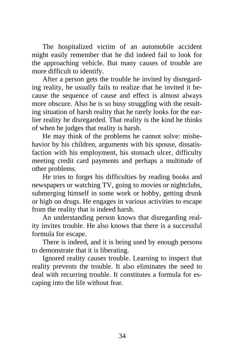The hospitalized victim of an automobile accident might easily remember that he did indeed fail to look for the approaching vehicle. But many causes of trouble are more difficult to identify.

After a person gets the trouble he invited by disregarding reality, he usually fails to realize that he invited it because the sequence of cause and effect is almost always more obscure. Also he is so busy struggling with the resulting situation of harsh reality that he rarely looks for the earlier reality he disregarded. That reality is the kind he thinks of when he judges that reality is harsh.

He may think of the problems he cannot solve: misbehavior by his children, arguments with his spouse, dissatisfaction with his employment, his stomach ulcer, difficulty meeting credit card payments and perhaps a multitude of other problems.

He tries to forget his difficulties by reading books and newspapers or watching TV, going to movies or nightclubs, submerging himself in some work or hobby, getting drunk or high on drugs. He engages in various activities to escape from the reality that is indeed harsh.

An understanding person knows that disregarding reality invites trouble. He also knows that there is a successful formula for escape.

There is indeed, and it is being used by enough persons to demonstrate that it is liberating.

Ignored reality causes trouble. Learning to inspect that reality prevents the trouble. It also eliminates the need to deal with recurring trouble. It constitutes a formula for escaping into the life without fear.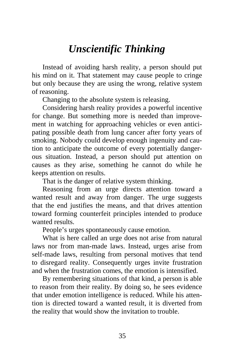# *Unscientific Thinking*

Instead of avoiding harsh reality, a person should put his mind on it. That statement may cause people to cringe but only because they are using the wrong, relative system of reasoning.

Changing to the absolute system is releasing.

Considering harsh reality provides a powerful incentive for change. But something more is needed than improvement in watching for approaching vehicles or even anticipating possible death from lung cancer after forty years of smoking. Nobody could develop enough ingenuity and caution to anticipate the outcome of every potentially dangerous situation. Instead, a person should put attention on causes as they arise, something he cannot do while he keeps attention on results.

That is the danger of relative system thinking.

Reasoning from an urge directs attention toward a wanted result and away from danger. The urge suggests that the end justifies the means, and that drives attention toward forming counterfeit principles intended to produce wanted results.

People's urges spontaneously cause emotion.

What is here called an urge does not arise from natural laws nor from man-made laws. Instead, urges arise from self-made laws, resulting from personal motives that tend to disregard reality. Consequently urges invite frustration and when the frustration comes, the emotion is intensified.

By remembering situations of that kind, a person is able to reason from their reality. By doing so, he sees evidence that under emotion intelligence is reduced. While his attention is directed toward a wanted result, it is diverted from the reality that would show the invitation to trouble.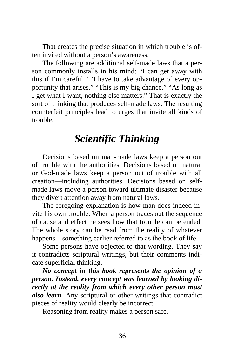That creates the precise situation in which trouble is often invited without a person's awareness.

The following are additional self-made laws that a person commonly installs in his mind: "I can get away with this if I'm careful." "I have to take advantage of every opportunity that arises." "This is my big chance." "As long as I get what I want, nothing else matters." That is exactly the sort of thinking that produces self-made laws. The resulting counterfeit principles lead to urges that invite all kinds of trouble.

#### *Scientific Thinking*

Decisions based on man-made laws keep a person out of trouble with the authorities. Decisions based on natural or God-made laws keep a person out of trouble with all creation—including authorities. Decisions based on selfmade laws move a person toward ultimate disaster because they divert attention away from natural laws.

The foregoing explanation is how man does indeed invite his own trouble. When a person traces out the sequence of cause and effect he sees how that trouble can be ended. The whole story can be read from the reality of whatever happens—something earlier referred to as the book of life.

Some persons have objected to that wording. They say it contradicts scriptural writings, but their comments indicate superficial thinking.

*No concept in this book represents the opinion of a person. Instead, every concept was learned by looking directly at the reality from which every other person must also learn.* Any scriptural or other writings that contradict pieces of reality would clearly be incorrect.

Reasoning from reality makes a person safe.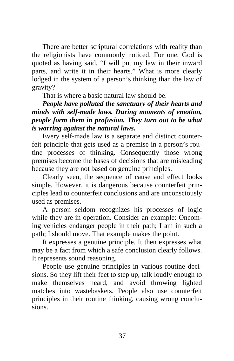There are better scriptural correlations with reality than the religionists have commonly noticed. For one, God is quoted as having said, "I will put my law in their inward parts, and write it in their hearts." What is more clearly lodged in the system of a person's thinking than the law of gravity?

That is where a basic natural law should be.

*People have polluted the sanctuary of their hearts and minds with self-made laws. During moments of emotion, people form them in profusion. They turn out to be what is warring against the natural laws.* 

Every self-made law is a separate and distinct counterfeit principle that gets used as a premise in a person's routine processes of thinking. Consequently those wrong premises become the bases of decisions that are misleading because they are not based on genuine principles.

Clearly seen, the sequence of cause and effect looks simple. However, it is dangerous because counterfeit principles lead to counterfeit conclusions and are unconsciously used as premises.

A person seldom recognizes his processes of logic while they are in operation. Consider an example: Oncoming vehicles endanger people in their path; I am in such a path; I should move. That example makes the point.

It expresses a genuine principle. It then expresses what may be a fact from which a safe conclusion clearly follows. It represents sound reasoning.

People use genuine principles in various routine decisions. So they lift their feet to step up, talk loudly enough to make themselves heard, and avoid throwing lighted matches into wastebaskets. People also use counterfeit principles in their routine thinking, causing wrong conclusions.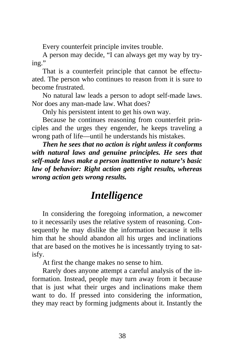Every counterfeit principle invites trouble.

A person may decide, "I can always get my way by trying."

That is a counterfeit principle that cannot be effectuated. The person who continues to reason from it is sure to become frustrated.

No natural law leads a person to adopt self-made laws. Nor does any man-made law. What does?

Only his persistent intent to get his own way.

Because he continues reasoning from counterfeit principles and the urges they engender, he keeps traveling a wrong path of life—until he understands his mistakes.

*Then he sees that no action is right unless it conforms with natural laws and genuine principles. He sees that self-made laws make a person inattentive to nature's basic law of behavior: Right action gets right results, whereas wrong action gets wrong results.* 

# *Intelligence*

In considering the foregoing information, a newcomer to it necessarily uses the relative system of reasoning. Consequently he may dislike the information because it tells him that he should abandon all his urges and inclinations that are based on the motives he is incessantly trying to satisfy.

At first the change makes no sense to him.

Rarely does anyone attempt a careful analysis of the information. Instead, people may turn away from it because that is just what their urges and inclinations make them want to do. If pressed into considering the information, they may react by forming judgments about it. Instantly the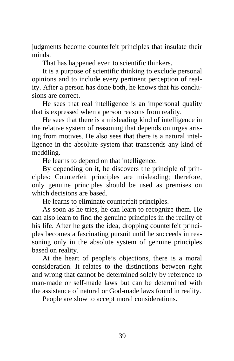judgments become counterfeit principles that insulate their minds.

That has happened even to scientific thinkers.

It is a purpose of scientific thinking to exclude personal opinions and to include every pertinent perception of reality. After a person has done both, he knows that his conclusions are correct.

He sees that real intelligence is an impersonal quality that is expressed when a person reasons from reality.

He sees that there is a misleading kind of intelligence in the relative system of reasoning that depends on urges arising from motives. He also sees that there is a natural intelligence in the absolute system that transcends any kind of meddling.

He learns to depend on that intelligence.

By depending on it, he discovers the principle of principles: Counterfeit principles are misleading; therefore, only genuine principles should be used as premises on which decisions are based.

He learns to eliminate counterfeit principles.

As soon as he tries, he can learn to recognize them. He can also learn to find the genuine principles in the reality of his life. After he gets the idea, dropping counterfeit principles becomes a fascinating pursuit until he succeeds in reasoning only in the absolute system of genuine principles based on reality.

At the heart of people's objections, there is a moral consideration. It relates to the distinctions between right and wrong that cannot be determined solely by reference to man-made or self-made laws but can be determined with the assistance of natural or God-made laws found in reality.

People are slow to accept moral considerations.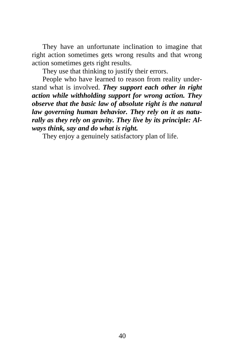They have an unfortunate inclination to imagine that right action sometimes gets wrong results and that wrong action sometimes gets right results.

They use that thinking to justify their errors.

People who have learned to reason from reality understand what is involved. *They support each other in right action while withholding support for wrong action. They observe that the basic law of absolute right is the natural law governing human behavior. They rely on it as naturally as they rely on gravity. They live by its principle: Always think, say and do what is right.*

They enjoy a genuinely satisfactory plan of life.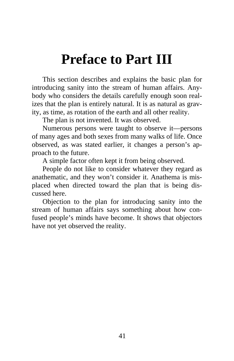# **Preface to Part III**

This section describes and explains the basic plan for introducing sanity into the stream of human affairs. Anybody who considers the details carefully enough soon realizes that the plan is entirely natural. It is as natural as gravity, as time, as rotation of the earth and all other reality.

The plan is not invented. It was observed.

Numerous persons were taught to observe it—persons of many ages and both sexes from many walks of life. Once observed, as was stated earlier, it changes a person's approach to the future.

A simple factor often kept it from being observed.

People do not like to consider whatever they regard as anathematic, and they won't consider it. Anathema is misplaced when directed toward the plan that is being discussed here.

Objection to the plan for introducing sanity into the stream of human affairs says something about how confused people's minds have become. It shows that objectors have not yet observed the reality.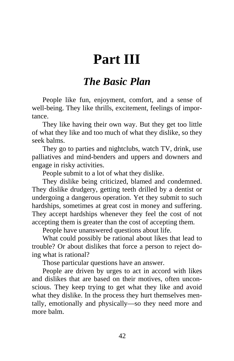# **Part III**

#### *The Basic Plan*

People like fun, enjoyment, comfort, and a sense of well-being. They like thrills, excitement, feelings of importance.

They like having their own way. But they get too little of what they like and too much of what they dislike, so they seek balms.

They go to parties and nightclubs, watch TV, drink, use palliatives and mind-benders and uppers and downers and engage in risky activities.

People submit to a lot of what they dislike.

They dislike being criticized, blamed and condemned. They dislike drudgery, getting teeth drilled by a dentist or undergoing a dangerous operation. Yet they submit to such hardships, sometimes at great cost in money and suffering. They accept hardships whenever they feel the cost of not accepting them is greater than the cost of accepting them.

People have unanswered questions about life.

What could possibly be rational about likes that lead to trouble? Or about dislikes that force a person to reject doing what is rational?

Those particular questions have an answer.

People are driven by urges to act in accord with likes and dislikes that are based on their motives, often unconscious. They keep trying to get what they like and avoid what they dislike. In the process they hurt themselves mentally, emotionally and physically—so they need more and more balm.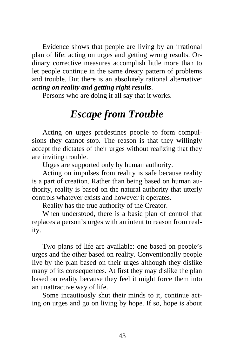Evidence shows that people are living by an irrational plan of life: acting on urges and getting wrong results. Ordinary corrective measures accomplish little more than to let people continue in the same dreary pattern of problems and trouble. But there is an absolutely rational alternative: *acting on reality and getting right results*.

Persons who are doing it all say that it works.

### *Escape from Trouble*

Acting on urges predestines people to form compulsions they cannot stop. The reason is that they willingly accept the dictates of their urges without realizing that they are inviting trouble.

Urges are supported only by human authority.

Acting on impulses from reality is safe because reality is a part of creation. Rather than being based on human authority, reality is based on the natural authority that utterly controls whatever exists and however it operates.

Reality has the true authority of the Creator.

When understood, there is a basic plan of control that replaces a person's urges with an intent to reason from reality.

Two plans of life are available: one based on people's urges and the other based on reality. Conventionally people live by the plan based on their urges although they dislike many of its consequences. At first they may dislike the plan based on reality because they feel it might force them into an unattractive way of life.

Some incautiously shut their minds to it, continue acting on urges and go on living by hope. If so, hope is about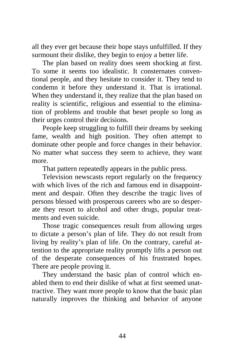all they ever get because their hope stays unfulfilled. If they surmount their dislike, they begin to enjoy a better life.

The plan based on reality does seem shocking at first. To some it seems too idealistic. It consternates conventional people, and they hesitate to consider it. They tend to condemn it before they understand it. That is irrational. When they understand it, they realize that the plan based on reality is scientific, religious and essential to the elimination of problems and trouble that beset people so long as their urges control their decisions.

People keep struggling to fulfill their dreams by seeking fame, wealth and high position. They often attempt to dominate other people and force changes in their behavior. No matter what success they seem to achieve, they want more.

That pattern repeatedly appears in the public press.

Television newscasts report regularly on the frequency with which lives of the rich and famous end in disappointment and despair. Often they describe the tragic lives of persons blessed with prosperous careers who are so desperate they resort to alcohol and other drugs, popular treatments and even suicide.

Those tragic consequences result from allowing urges to dictate a person's plan of life. They do not result from living by reality's plan of life. On the contrary, careful attention to the appropriate reality promptly lifts a person out of the desperate consequences of his frustrated hopes. There are people proving it.

They understand the basic plan of control which enabled them to end their dislike of what at first seemed unattractive. They want more people to know that the basic plan naturally improves the thinking and behavior of anyone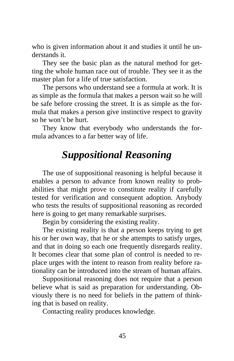who is given information about it and studies it until he understands it.

They see the basic plan as the natural method for getting the whole human race out of trouble. They see it as the master plan for a life of true satisfaction.

The persons who understand see a formula at work. It is as simple as the formula that makes a person wait so he will be safe before crossing the street. It is as simple as the formula that makes a person give instinctive respect to gravity so he won't be hurt.

They know that everybody who understands the formula advances to a far better way of life.

# *Suppositional Reasoning*

The use of suppositional reasoning is helpful because it enables a person to advance from known reality to probabilities that might prove to constitute reality if carefully tested for verification and consequent adoption. Anybody who tests the results of suppositional reasoning as recorded here is going to get many remarkable surprises.

Begin by considering the existing reality.

The existing reality is that a person keeps trying to get his or her own way, that he or she attempts to satisfy urges, and that in doing so each one frequently disregards reality. It becomes clear that some plan of control is needed to replace urges with the intent to reason from reality before rationality can be introduced into the stream of human affairs.

Suppositional reasoning does not require that a person believe what is said as preparation for understanding. Obviously there is no need for beliefs in the pattern of thinking that is based on reality.

Contacting reality produces knowledge.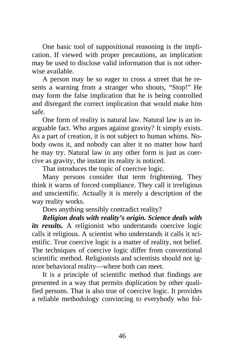One basic tool of suppositional reasoning is the implication. If viewed with proper precautions, an implication may be used to disclose valid information that is not otherwise available.

A person may be so eager to cross a street that he resents a warning from a stranger who shouts, "Stop!" He may form the false implication that he is being controlled and disregard the correct implication that would make him safe.

One form of reality is natural law. Natural law is an inarguable fact. Who argues against gravity? It simply exists. As a part of creation, it is not subject to human whims. Nobody owns it, and nobody can alter it no matter how hard he may try. Natural law in any other form is just as coercive as gravity, the instant its reality is noticed.

That introduces the topic of coercive logic.

Many persons consider that term frightening. They think it warns of forced compliance. They call it irreligious and unscientific. Actually it is merely a description of the way reality works.

Does anything sensibly contradict reality?

*Religion deals with reality's origin. Science deals with its results.* A religionist who understands coercive logic calls it religious. A scientist who understands it calls it scientific. True coercive logic is a matter of reality, not belief. The techniques of coercive logic differ from conventional scientific method. Religionists and scientists should not ignore behavioral reality—where both can meet.

It is a principle of scientific method that findings are presented in a way that permits duplication by other qualified persons. That is also true of coercive logic. It provides a reliable methodology convincing to everybody who fol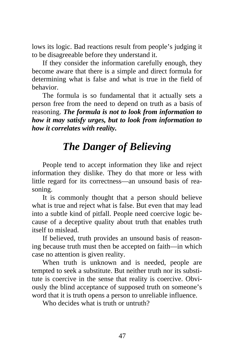lows its logic. Bad reactions result from people's judging it to be disagreeable before they understand it.

If they consider the information carefully enough, they become aware that there is a simple and direct formula for determining what is false and what is true in the field of behavior.

The formula is so fundamental that it actually sets a person free from the need to depend on truth as a basis of reasoning. *The formula is not to look from information to how it may satisfy urges, but to look from information to how it correlates with reality.*

# *The Danger of Believing*

People tend to accept information they like and reject information they dislike. They do that more or less with little regard for its correctness—an unsound basis of reasoning.

It is commonly thought that a person should believe what is true and reject what is false. But even that may lead into a subtle kind of pitfall. People need coercive logic because of a deceptive quality about truth that enables truth itself to mislead.

If believed, truth provides an unsound basis of reasoning because truth must then be accepted on faith—in which case no attention is given reality.

When truth is unknown and is needed, people are tempted to seek a substitute. But neither truth nor its substitute is coercive in the sense that reality is coercive. Obviously the blind acceptance of supposed truth on someone's word that it is truth opens a person to unreliable influence.

Who decides what is truth or untruth?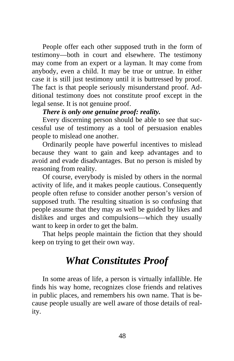People offer each other supposed truth in the form of testimony—both in court and elsewhere. The testimony may come from an expert or a layman. It may come from anybody, even a child. It may be true or untrue. In either case it is still just testimony until it is buttressed by proof. The fact is that people seriously misunderstand proof. Additional testimony does not constitute proof except in the legal sense. It is not genuine proof.

#### *There is only one genuine proof: reality.*

Every discerning person should be able to see that successful use of testimony as a tool of persuasion enables people to mislead one another.

Ordinarily people have powerful incentives to mislead because they want to gain and keep advantages and to avoid and evade disadvantages. But no person is misled by reasoning from reality.

Of course, everybody is misled by others in the normal activity of life, and it makes people cautious. Consequently people often refuse to consider another person's version of supposed truth. The resulting situation is so confusing that people assume that they may as well be guided by likes and dislikes and urges and compulsions—which they usually want to keep in order to get the balm.

That helps people maintain the fiction that they should keep on trying to get their own way.

# *What Constitutes Proof*

In some areas of life, a person is virtually infallible. He finds his way home, recognizes close friends and relatives in public places, and remembers his own name. That is because people usually are well aware of those details of reality.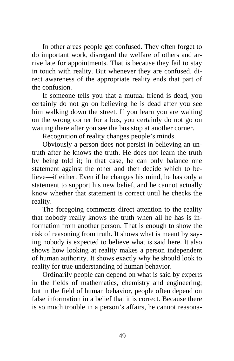In other areas people get confused. They often forget to do important work, disregard the welfare of others and arrive late for appointments. That is because they fail to stay in touch with reality. But whenever they are confused, direct awareness of the appropriate reality ends that part of the confusion.

If someone tells you that a mutual friend is dead, you certainly do not go on believing he is dead after you see him walking down the street. If you learn you are waiting on the wrong corner for a bus, you certainly do not go on waiting there after you see the bus stop at another corner.

Recognition of reality changes people's minds.

Obviously a person does not persist in believing an untruth after he knows the truth. He does not learn the truth by being told it; in that case, he can only balance one statement against the other and then decide which to believe—if either. Even if he changes his mind, he has only a statement to support his new belief, and he cannot actually know whether that statement is correct until he checks the reality.

The foregoing comments direct attention to the reality that nobody really knows the truth when all he has is information from another person. That is enough to show the risk of reasoning from truth. It shows what is meant by saying nobody is expected to believe what is said here. It also shows how looking at reality makes a person independent of human authority. It shows exactly why he should look to reality for true understanding of human behavior.

Ordinarily people can depend on what is said by experts in the fields of mathematics, chemistry and engineering; but in the field of human behavior, people often depend on false information in a belief that it is correct. Because there is so much trouble in a person's affairs, he cannot reasona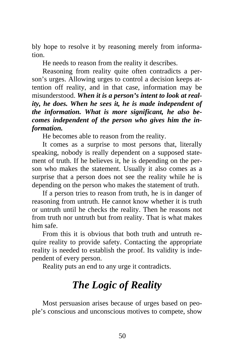bly hope to resolve it by reasoning merely from information.

He needs to reason from the reality it describes.

Reasoning from reality quite often contradicts a person's urges. Allowing urges to control a decision keeps attention off reality, and in that case, information may be misunderstood. *When it is a person's intent to look at reality, he does. When he sees it, he is made independent of the information. What is more significant, he also becomes independent of the person who gives him the information.* 

He becomes able to reason from the reality.

It comes as a surprise to most persons that, literally speaking, nobody is really dependent on a supposed statement of truth. If he believes it, he is depending on the person who makes the statement. Usually it also comes as a surprise that a person does not see the reality while he is depending on the person who makes the statement of truth.

If a person tries to reason from truth, he is in danger of reasoning from untruth. He cannot know whether it is truth or untruth until he checks the reality. Then he reasons not from truth nor untruth but from reality. That is what makes him safe.

From this it is obvious that both truth and untruth require reality to provide safety. Contacting the appropriate reality is needed to establish the proof. Its validity is independent of every person.

Reality puts an end to any urge it contradicts.

# *The Logic of Reality*

Most persuasion arises because of urges based on people's conscious and unconscious motives to compete, show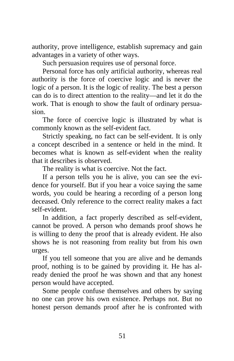authority, prove intelligence, establish supremacy and gain advantages in a variety of other ways.

Such persuasion requires use of personal force.

Personal force has only artificial authority, whereas real authority is the force of coercive logic and is never the logic of a person. It is the logic of reality. The best a person can do is to direct attention to the reality—and let it do the work. That is enough to show the fault of ordinary persuasion.

The force of coercive logic is illustrated by what is commonly known as the self-evident fact.

Strictly speaking, no fact can be self-evident. It is only a concept described in a sentence or held in the mind. It becomes what is known as self-evident when the reality that it describes is observed.

The reality is what is coercive. Not the fact.

If a person tells you he is alive, you can see the evidence for yourself. But if you hear a voice saying the same words, you could be hearing a recording of a person long deceased. Only reference to the correct reality makes a fact self-evident.

In addition, a fact properly described as self-evident, cannot be proved. A person who demands proof shows he is willing to deny the proof that is already evident. He also shows he is not reasoning from reality but from his own urges.

If you tell someone that you are alive and he demands proof, nothing is to be gained by providing it. He has already denied the proof he was shown and that any honest person would have accepted.

Some people confuse themselves and others by saying no one can prove his own existence. Perhaps not. But no honest person demands proof after he is confronted with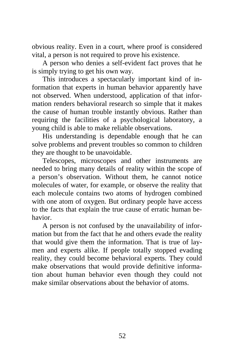obvious reality. Even in a court, where proof is considered vital, a person is not required to prove his existence.

A person who denies a self-evident fact proves that he is simply trying to get his own way.

This introduces a spectacularly important kind of information that experts in human behavior apparently have not observed. When understood, application of that information renders behavioral research so simple that it makes the cause of human trouble instantly obvious. Rather than requiring the facilities of a psychological laboratory, a young child is able to make reliable observations.

His understanding is dependable enough that he can solve problems and prevent troubles so common to children they are thought to be unavoidable.

Telescopes, microscopes and other instruments are needed to bring many details of reality within the scope of a person's observation. Without them, he cannot notice molecules of water, for example, or observe the reality that each molecule contains two atoms of hydrogen combined with one atom of oxygen. But ordinary people have access to the facts that explain the true cause of erratic human behavior.

A person is not confused by the unavailability of information but from the fact that he and others evade the reality that would give them the information. That is true of laymen and experts alike. If people totally stopped evading reality, they could become behavioral experts. They could make observations that would provide definitive information about human behavior even though they could not make similar observations about the behavior of atoms.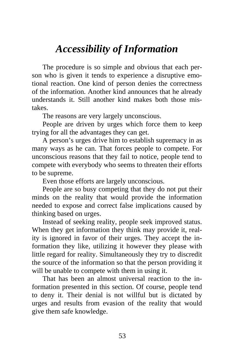# *Accessibility of Information*

The procedure is so simple and obvious that each person who is given it tends to experience a disruptive emotional reaction. One kind of person denies the correctness of the information. Another kind announces that he already understands it. Still another kind makes both those mistakes.

The reasons are very largely unconscious.

People are driven by urges which force them to keep trying for all the advantages they can get.

A person's urges drive him to establish supremacy in as many ways as he can. That forces people to compete. For unconscious reasons that they fail to notice, people tend to compete with everybody who seems to threaten their efforts to be supreme.

Even those efforts are largely unconscious.

People are so busy competing that they do not put their minds on the reality that would provide the information needed to expose and correct false implications caused by thinking based on urges.

Instead of seeking reality, people seek improved status. When they get information they think may provide it, reality is ignored in favor of their urges. They accept the information they like, utilizing it however they please with little regard for reality. Simultaneously they try to discredit the source of the information so that the person providing it will be unable to compete with them in using it.

That has been an almost universal reaction to the information presented in this section. Of course, people tend to deny it. Their denial is not willful but is dictated by urges and results from evasion of the reality that would give them safe knowledge.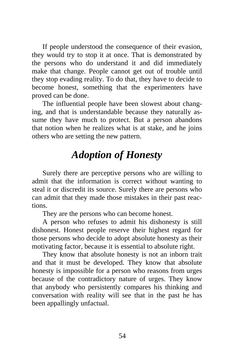If people understood the consequence of their evasion, they would try to stop it at once. That is demonstrated by the persons who do understand it and did immediately make that change. People cannot get out of trouble until they stop evading reality. To do that, they have to decide to become honest, something that the experimenters have proved can be done.

The influential people have been slowest about changing, and that is understandable because they naturally assume they have much to protect. But a person abandons that notion when he realizes what is at stake, and he joins others who are setting the new pattern.

# *Adoption of Honesty*

Surely there are perceptive persons who are willing to admit that the information is correct without wanting to steal it or discredit its source. Surely there are persons who can admit that they made those mistakes in their past reactions.

They are the persons who can become honest.

A person who refuses to admit his dishonesty is still dishonest. Honest people reserve their highest regard for those persons who decide to adopt absolute honesty as their motivating factor, because it is essential to absolute right.

They know that absolute honesty is not an inborn trait and that it must be developed. They know that absolute honesty is impossible for a person who reasons from urges because of the contradictory nature of urges. They know that anybody who persistently compares his thinking and conversation with reality will see that in the past he has been appallingly unfactual.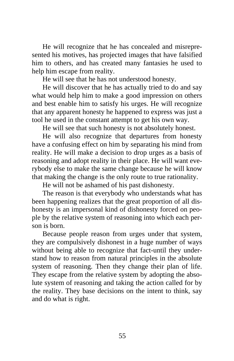He will recognize that he has concealed and misrepresented his motives, has projected images that have falsified him to others, and has created many fantasies he used to help him escape from reality.

He will see that he has not understood honesty.

He will discover that he has actually tried to do and say what would help him to make a good impression on others and best enable him to satisfy his urges. He will recognize that any apparent honesty he happened to express was just a tool he used in the constant attempt to get his own way.

He will see that such honesty is not absolutely honest.

He will also recognize that departures from honesty have a confusing effect on him by separating his mind from reality. He will make a decision to drop urges as a basis of reasoning and adopt reality in their place. He will want everybody else to make the same change because he will know that making the change is the only route to true rationality.

He will not be ashamed of his past dishonesty.

The reason is that everybody who understands what has been happening realizes that the great proportion of all dishonesty is an impersonal kind of dishonesty forced on people by the relative system of reasoning into which each person is born.

Because people reason from urges under that system, they are compulsively dishonest in a huge number of ways without being able to recognize that fact-until they understand how to reason from natural principles in the absolute system of reasoning. Then they change their plan of life. They escape from the relative system by adopting the absolute system of reasoning and taking the action called for by the reality. They base decisions on the intent to think, say and do what is right.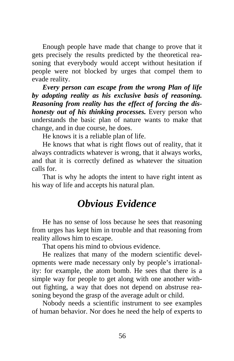Enough people have made that change to prove that it gets precisely the results predicted by the theoretical reasoning that everybody would accept without hesitation if people were not blocked by urges that compel them to evade reality.

*Every person can escape from the wrong Plan of life by adopting reality as his exclusive basis of reasoning. Reasoning from reality has the effect of forcing the dishonesty out of his thinking processes.* Every person who understands the basic plan of nature wants to make that change, and in due course, he does.

He knows it is a reliable plan of life.

He knows that what is right flows out of reality, that it always contradicts whatever is wrong, that it always works, and that it is correctly defined as whatever the situation calls for.

That is why he adopts the intent to have right intent as his way of life and accepts his natural plan.

#### *Obvious Evidence*

He has no sense of loss because he sees that reasoning from urges has kept him in trouble and that reasoning from reality allows him to escape.

That opens his mind to obvious evidence.

He realizes that many of the modern scientific developments were made necessary only by people's irrationality: for example, the atom bomb. He sees that there is a simple way for people to get along with one another without fighting, a way that does not depend on abstruse reasoning beyond the grasp of the average adult or child.

Nobody needs a scientific instrument to see examples of human behavior. Nor does he need the help of experts to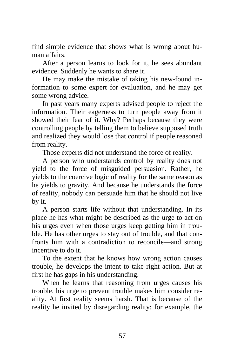find simple evidence that shows what is wrong about human affairs.

After a person learns to look for it, he sees abundant evidence. Suddenly he wants to share it.

He may make the mistake of taking his new-found information to some expert for evaluation, and he may get some wrong advice.

In past years many experts advised people to reject the information. Their eagerness to turn people away from it showed their fear of it. Why? Perhaps because they were controlling people by telling them to believe supposed truth and realized they would lose that control if people reasoned from reality.

Those experts did not understand the force of reality.

A person who understands control by reality does not yield to the force of misguided persuasion. Rather, he yields to the coercive logic of reality for the same reason as he yields to gravity. And because he understands the force of reality, nobody can persuade him that he should not live by it.

A person starts life without that understanding. In its place he has what might be described as the urge to act on his urges even when those urges keep getting him in trouble. He has other urges to stay out of trouble, and that confronts him with a contradiction to reconcile—and strong incentive to do it.

To the extent that he knows how wrong action causes trouble, he develops the intent to take right action. But at first he has gaps in his understanding.

When he learns that reasoning from urges causes his trouble, his urge to prevent trouble makes him consider reality. At first reality seems harsh. That is because of the reality he invited by disregarding reality: for example, the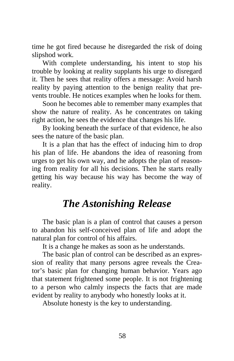time he got fired because he disregarded the risk of doing slipshod work.

With complete understanding, his intent to stop his trouble by looking at reality supplants his urge to disregard it. Then he sees that reality offers a message: Avoid harsh reality by paying attention to the benign reality that prevents trouble. He notices examples when he looks for them.

Soon he becomes able to remember many examples that show the nature of reality. As he concentrates on taking right action, he sees the evidence that changes his life.

By looking beneath the surface of that evidence, he also sees the nature of the basic plan.

It is a plan that has the effect of inducing him to drop his plan of life. He abandons the idea of reasoning from urges to get his own way, and he adopts the plan of reasoning from reality for all his decisions. Then he starts really getting his way because his way has become the way of reality.

### *The Astonishing Release*

The basic plan is a plan of control that causes a person to abandon his self-conceived plan of life and adopt the natural plan for control of his affairs.

It is a change he makes as soon as he understands.

The basic plan of control can be described as an expression of reality that many persons agree reveals the Creator's basic plan for changing human behavior. Years ago that statement frightened some people. It is not frightening to a person who calmly inspects the facts that are made evident by reality to anybody who honestly looks at it.

Absolute honesty is the key to understanding.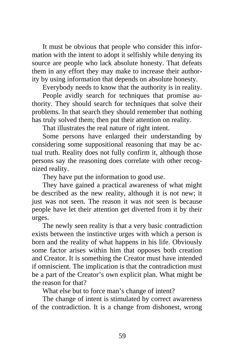It must be obvious that people who consider this information with the intent to adopt it selfishly while denying its source are people who lack absolute honesty. That defeats them in any effort they may make to increase their authority by using information that depends on absolute honesty.

Everybody needs to know that the authority is in reality.

People avidly search for techniques that promise authority. They should search for techniques that solve their problems. In that search they should remember that nothing has truly solved them; then put their attention on reality.

That illustrates the real nature of right intent.

Some persons have enlarged their understanding by considering some suppositional reasoning that may be actual truth. Reality does not fully confirm it, although those persons say the reasoning does correlate with other recognized reality.

They have put the information to good use.

They have gained a practical awareness of what might be described as the new reality, although it is not new; it just was not seen. The reason it was not seen is because people have let their attention get diverted from it by their urges.

The newly seen reality is that a very basic contradiction exists between the instinctive urges with which a person is born and the reality of what happens in his life. Obviously some factor arises within him that opposes both creation and Creator. It is something the Creator must have intended if omniscient. The implication is that the contradiction must be a part of the Creator's own explicit plan. What might be the reason for that?

What else but to force man's change of intent?

The change of intent is stimulated by correct awareness of the contradiction. It is a change from dishonest, wrong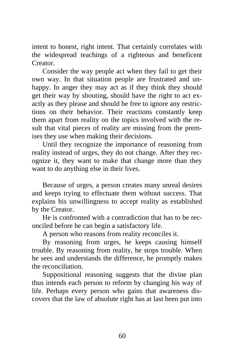intent to honest, right intent. That certainly correlates with the widespread teachings of a righteous and beneficent Creator.

Consider the way people act when they fail to get their own way. In that situation people are frustrated and unhappy. In anger they may act as if they think they should get their way by shouting, should have the right to act exactly as they please and should be free to ignore any restrictions on their behavior. Their reactions constantly keep them apart from reality on the topics involved with the result that vital pieces of reality are missing from the premises they use when making their decisions.

Until they recognize the importance of reasoning from reality instead of urges, they do not change. After they recognize it, they want to make that change more than they want to do anything else in their lives.

Because of urges, a person creates many unreal desires and keeps trying to effectuate them without success. That explains his unwillingness to accept reality as established by the Creator.

He is confronted with a contradiction that has to be reconciled before he can begin a satisfactory life.

A person who reasons from reality reconciles it.

By reasoning from urges, he keeps causing himself trouble. By reasoning from reality, he stops trouble. When he sees and understands the difference, he promptly makes the reconciliation.

Suppositional reasoning suggests that the divine plan thus intends each person to reform by changing his way of life. Perhaps every person who gains that awareness discovers that the law of absolute right has at last been put into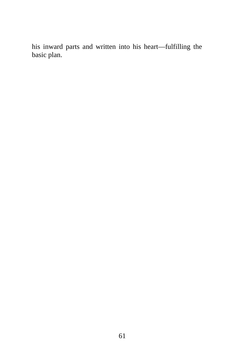his inward parts and written into his heart—fulfilling the basic plan.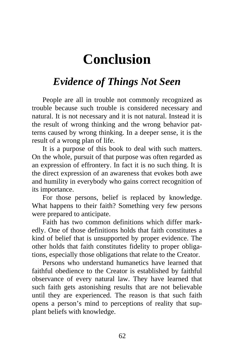# **Conclusion**

# *Evidence of Things Not Seen*

People are all in trouble not commonly recognized as trouble because such trouble is considered necessary and natural. It is not necessary and it is not natural. Instead it is the result of wrong thinking and the wrong behavior patterns caused by wrong thinking. In a deeper sense, it is the result of a wrong plan of life.

It is a purpose of this book to deal with such matters. On the whole, pursuit of that purpose was often regarded as an expression of effrontery. In fact it is no such thing. It is the direct expression of an awareness that evokes both awe and humility in everybody who gains correct recognition of its importance.

For those persons, belief is replaced by knowledge. What happens to their faith? Something very few persons were prepared to anticipate.

Faith has two common definitions which differ markedly. One of those definitions holds that faith constitutes a kind of belief that is unsupported by proper evidence. The other holds that faith constitutes fidelity to proper obligations, especially those obligations that relate to the Creator.

Persons who understand humanetics have learned that faithful obedience to the Creator is established by faithful observance of every natural law. They have learned that such faith gets astonishing results that are not believable until they are experienced. The reason is that such faith opens a person's mind to perceptions of reality that supplant beliefs with knowledge.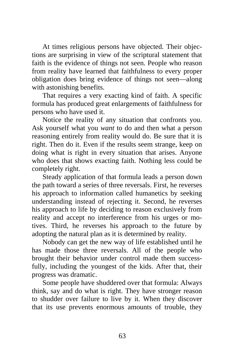At times religious persons have objected. Their objections are surprising in view of the scriptural statement that faith is the evidence of things not seen. People who reason from reality have learned that faithfulness to every proper obligation does bring evidence of things not seen—along with astonishing benefits.

That requires a very exacting kind of faith. A specific formula has produced great enlargements of faithfulness for persons who have used it.

Notice the reality of any situation that confronts you. Ask yourself what you *want* to do and then what a person reasoning entirely from reality would do. Be sure that it is right. Then do it. Even if the results seem strange, keep on doing what is right in every situation that arises. Anyone who does that shows exacting faith. Nothing less could be completely right.

Steady application of that formula leads a person down the path toward a series of three reversals. First, he reverses his approach to information called humanetics by seeking understanding instead of rejecting it. Second, he reverses his approach to life by deciding to reason exclusively from reality and accept no interference from his urges or motives. Third, he reverses his approach to the future by adopting the natural plan as it is determined by reality.

Nobody can get the new way of life established until he has made those three reversals. All of the people who brought their behavior under control made them successfully, including the youngest of the kids. After that, their progress was dramatic.

Some people have shuddered over that formula: Always think, say and do what is right. They have stronger reason to shudder over failure to live by it. When they discover that its use prevents enormous amounts of trouble, they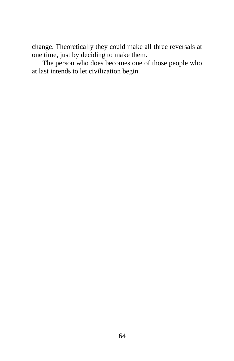change. Theoretically they could make all three reversals at one time, just by deciding to make them.

The person who does becomes one of those people who at last intends to let civilization begin.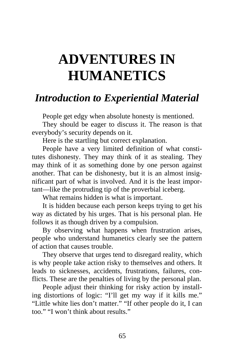# **ADVENTURES IN HUMANETICS**

### *Introduction to Experiential Material*

People get edgy when absolute honesty is mentioned.

They should be eager to discuss it. The reason is that everybody's security depends on it.

Here is the startling but correct explanation.

People have a very limited definition of what constitutes dishonesty. They may think of it as stealing. They may think of it as something done by one person against another. That can be dishonesty, but it is an almost insignificant part of what is involved. And it is the least important—like the protruding tip of the proverbial iceberg.

What remains hidden is what is important.

It is hidden because each person keeps trying to get his way as dictated by his urges. That is his personal plan. He follows it as though driven by a compulsion.

By observing what happens when frustration arises, people who understand humanetics clearly see the pattern of action that causes trouble.

They observe that urges tend to disregard reality, which is why people take action risky to themselves and others. It leads to sicknesses, accidents, frustrations, failures, conflicts. These are the penalties of living by the personal plan.

People adjust their thinking for risky action by installing distortions of logic: "I'll get my way if it kills me." "Little white lies don't matter." "If other people do it, I can too." "I won't think about results."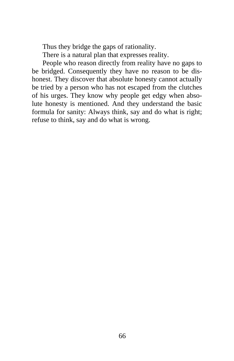Thus they bridge the gaps of rationality.

There is a natural plan that expresses reality.

People who reason directly from reality have no gaps to be bridged. Consequently they have no reason to be dishonest. They discover that absolute honesty cannot actually be tried by a person who has not escaped from the clutches of his urges. They know why people get edgy when absolute honesty is mentioned. And they understand the basic formula for sanity: Always think, say and do what is right; refuse to think, say and do what is wrong.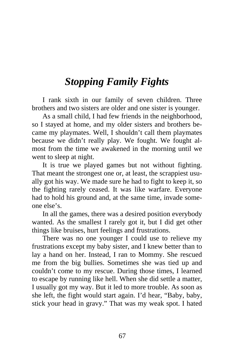### *Stopping Family Fights*

I rank sixth in our family of seven children. Three brothers and two sisters are older and one sister is younger.

As a small child, I had few friends in the neighborhood, so I stayed at home, and my older sisters and brothers became my playmates. Well, I shouldn't call them playmates because we didn't really play. We fought. We fought almost from the time we awakened in the morning until we went to sleep at night.

It is true we played games but not without fighting. That meant the strongest one or, at least, the scrappiest usually got his way. We made sure he had to fight to keep it, so the fighting rarely ceased. It was like warfare. Everyone had to hold his ground and, at the same time, invade someone else's.

In all the games, there was a desired position everybody wanted. As the smallest I rarely got it, but I did get other things like bruises, hurt feelings and frustrations.

There was no one younger I could use to relieve my frustrations except my baby sister, and I knew better than to lay a hand on her. Instead, I ran to Mommy. She rescued me from the big bullies. Sometimes she was tied up and couldn't come to my rescue. During those times, I learned to escape by running like hell. When she did settle a matter, I usually got my way. But it led to more trouble. As soon as she left, the fight would start again. I'd hear, "Baby, baby, stick your head in gravy." That was my weak spot. I hated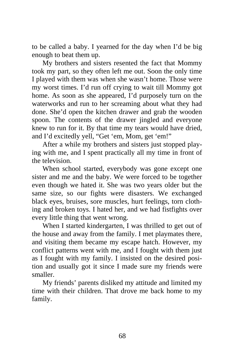to be called a baby. I yearned for the day when I'd be big enough to beat them up.

My brothers and sisters resented the fact that Mommy took my part, so they often left me out. Soon the only time I played with them was when she wasn't home. Those were my worst times. I'd run off crying to wait till Mommy got home. As soon as she appeared, I'd purposely turn on the waterworks and run to her screaming about what they had done. She'd open the kitchen drawer and grab the wooden spoon. The contents of the drawer jingled and everyone knew to run for it. By that time my tears would have dried, and I'd excitedly yell, "Get 'em, Mom, get 'em!"

After a while my brothers and sisters just stopped playing with me, and I spent practically all my time in front of the television.

When school started, everybody was gone except one sister and me and the baby. We were forced to be together even though we hated it. She was two years older but the same size, so our fights were disasters. We exchanged black eyes, bruises, sore muscles, hurt feelings, torn clothing and broken toys. I hated her, and we had fistfights over every little thing that went wrong.

When I started kindergarten, I was thrilled to get out of the house and away from the family. I met playmates there, and visiting them became my escape hatch. However, my conflict patterns went with me, and I fought with them just as I fought with my family. I insisted on the desired position and usually got it since I made sure my friends were smaller.

My friends' parents disliked my attitude and limited my time with their children. That drove me back home to my family.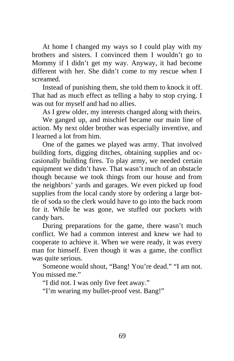At home I changed my ways so I could play with my brothers and sisters. I convinced them I wouldn't go to Mommy if I didn't get my way. Anyway, it had become different with her. She didn't come to my rescue when I screamed.

Instead of punishing them, she told them to knock it off. That had as much effect as telling a baby to stop crying. I was out for myself and had no allies.

As I grew older, my interests changed along with theirs.

We ganged up, and mischief became our main line of action. My next older brother was especially inventive, and I learned a lot from him.

One of the games we played was army. That involved building forts, digging ditches, obtaining supplies and occasionally building fires. To play army, we needed certain equipment we didn't have. That wasn't much of an obstacle though because we took things from our house and from the neighbors' yards and garages. We even picked up food supplies from the local candy store by ordering a large bottle of soda so the clerk would have to go into the back room for it. While he was gone, we stuffed our pockets with candy bars.

During preparations for the game, there wasn't much conflict. We had a common interest and knew we had to cooperate to achieve it. When we were ready, it was every man for himself. Even though it was a game, the conflict was quite serious.

Someone would shout, "Bang! You're dead." "I am not. You missed me."

"I did not. I was only five feet away."

"I'm wearing my bullet-proof vest. Bang!"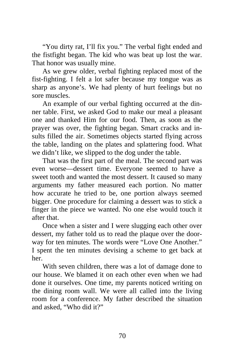"You dirty rat, I'll fix you." The verbal fight ended and the fistfight began. The kid who was beat up lost the war. That honor was usually mine.

As we grew older, verbal fighting replaced most of the fist-fighting. I felt a lot safer because my tongue was as sharp as anyone's. We had plenty of hurt feelings but no sore muscles.

An example of our verbal fighting occurred at the dinner table. First, we asked God to make our meal a pleasant one and thanked Him for our food. Then, as soon as the prayer was over, the fighting began. Smart cracks and insults filled the air. Sometimes objects started flying across the table, landing on the plates and splattering food. What we didn't like, we slipped to the dog under the table.

That was the first part of the meal. The second part was even worse—dessert time. Everyone seemed to have a sweet tooth and wanted the most dessert. It caused so many arguments my father measured each portion. No matter how accurate he tried to be, one portion always seemed bigger. One procedure for claiming a dessert was to stick a finger in the piece we wanted. No one else would touch it after that.

Once when a sister and I were slugging each other over dessert, my father told us to read the plaque over the doorway for ten minutes. The words were "Love One Another." I spent the ten minutes devising a scheme to get back at her.

With seven children, there was a lot of damage done to our house. We blamed it on each other even when we had done it ourselves. One time, my parents noticed writing on the dining room wall. We were all called into the living room for a conference. My father described the situation and asked, "Who did it?"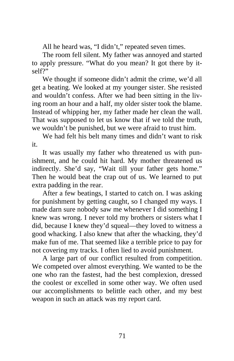All he heard was, "I didn't," repeated seven times.

The room fell silent. My father was annoyed and started to apply pressure. "What do you mean? It got there by itself?"

We thought if someone didn't admit the crime, we'd all get a beating. We looked at my younger sister. She resisted and wouldn't confess. After we had been sitting in the living room an hour and a half, my older sister took the blame. Instead of whipping her, my father made her clean the wall. That was supposed to let us know that if we told the truth, we wouldn't be punished, but we were afraid to trust him.

We had felt his belt many times and didn't want to risk it.

It was usually my father who threatened us with punishment, and he could hit hard. My mother threatened us indirectly. She'd say, "Wait till your father gets home." Then he would beat the crap out of us. We learned to put extra padding in the rear.

After a few beatings, I started to catch on. I was asking for punishment by getting caught, so I changed my ways. I made darn sure nobody saw me whenever I did something I knew was wrong. I never told my brothers or sisters what I did, because I knew they'd squeal—they loved to witness a good whacking. I also knew that after the whacking, they'd make fun of me. That seemed like a terrible price to pay for not covering my tracks. I often lied to avoid punishment.

A large part of our conflict resulted from competition. We competed over almost everything. We wanted to be the one who ran the fastest, had the best complexion, dressed the coolest or excelled in some other way. We often used our accomplishments to belittle each other, and my best weapon in such an attack was my report card.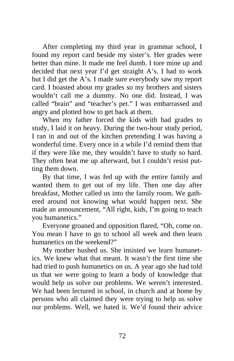After completing my third year in grammar school, I found my report card beside my sister's. Her grades were better than mine. It made me feel dumb. I tore mine up and decided that next year I'd get straight A's. I had to work but I did get the A's. I made sure everybody saw my report card. I boasted about my grades so my brothers and sisters wouldn't call me a dummy. No one did. Instead, I was called "brain" and "teacher's pet." I was embarrassed and angry and plotted how to get back at them.

When my father forced the kids with bad grades to study, I laid it on heavy. During the two-hour study period, I ran in and out of the kitchen pretending I was having a wonderful time. Every once in a while I'd remind them that if they were like me, they wouldn't have to study so hard. They often beat me up afterward, but I couldn't resist putting them down.

By that time, I was fed up with the entire family and wanted them to get out of my life. Then one day after breakfast, Mother called us into the family room. We gathered around not knowing what would happen next. She made an announcement, "All right, kids, I'm going to teach you humanetics."

Everyone groaned and opposition flared, "Oh, come on. You mean I have to go to school all week and then learn humanetics on the weekend?"

My mother hushed us. She insisted we learn humanetics. We knew what that meant. It wasn't the first time she had tried to push humanetics on us. A year ago she had told us that we were going to learn a body of knowledge that would help us solve our problems. We weren't interested. We had been lectured in school, in church and at home by persons who all claimed they were trying to help us solve our problems. Well, we hated it. We'd found their advice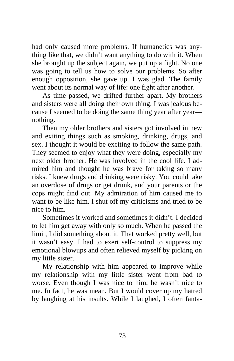had only caused more problems. If humanetics was anything like that, we didn't want anything to do with it. When she brought up the subject again, we put up a fight. No one was going to tell us how to solve our problems. So after enough opposition, she gave up. I was glad. The family went about its normal way of life: one fight after another.

As time passed, we drifted further apart. My brothers and sisters were all doing their own thing. I was jealous because I seemed to be doing the same thing year after year nothing.

Then my older brothers and sisters got involved in new and exiting things such as smoking, drinking, drugs, and sex. I thought it would be exciting to follow the same path. They seemed to enjoy what they were doing, especially my next older brother. He was involved in the cool life. I admired him and thought he was brave for taking so many risks. I knew drugs and drinking were risky. You could take an overdose of drugs or get drunk, and your parents or the cops might find out. My admiration of him caused me to want to be like him. I shut off my criticisms and tried to be nice to him.

Sometimes it worked and sometimes it didn't. I decided to let him get away with only so much. When he passed the limit, I did something about it. That worked pretty well, but it wasn't easy. I had to exert self-control to suppress my emotional blowups and often relieved myself by picking on my little sister.

My relationship with him appeared to improve while my relationship with my little sister went from bad to worse. Even though I was nice to him, he wasn't nice to me. In fact, he was mean. But I would cover up my hatred by laughing at his insults. While I laughed, I often fanta-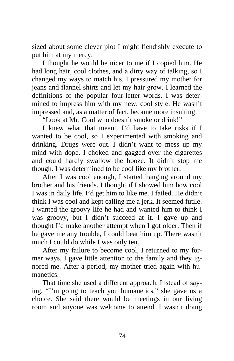sized about some clever plot I might fiendishly execute to put him at my mercy.

I thought he would be nicer to me if I copied him. He had long hair, cool clothes, and a dirty way of talking, so I changed my ways to match his. I pressured my mother for jeans and flannel shirts and let my hair grow. I learned the definitions of the popular four-letter words. I was determined to impress him with my new, cool style. He wasn't impressed and, as a matter of fact, became more insulting.

"Look at Mr. Cool who doesn't smoke or drink!"

I knew what that meant. I'd have to take risks if I wanted to be cool, so I experimented with smoking and drinking. Drugs were out. I didn't want to mess up my mind with dope. I choked and gagged over the cigarettes and could hardly swallow the booze. It didn't stop me though. I was determined to be cool like my brother.

After I was cool enough, I started hanging around my brother and his friends. I thought if I showed him how cool I was in daily life, I'd get him to like me. I failed. He didn't think I was cool and kept calling me a jerk. It seemed futile. I wanted the groovy life he had and wanted him to think I was groovy, but I didn't succeed at it. I gave up and thought I'd make another attempt when I got older. Then if he gave me any trouble, I could beat him up. There wasn't much I could do while I was only ten.

After my failure to become cool, I returned to my former ways. I gave little attention to the family and they ignored me. After a period, my mother tried again with humanetics.

That time she used a different approach. Instead of saying, "I'm going to teach you humanetics," she gave us a choice. She said there would be meetings in our living room and anyone was welcome to attend. I wasn't doing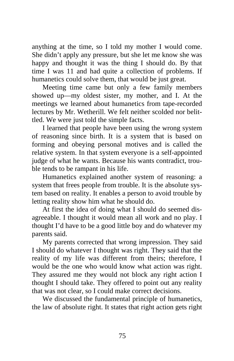anything at the time, so I told my mother I would come. She didn't apply any pressure, but she let me know she was happy and thought it was the thing I should do. By that time I was 11 and had quite a collection of problems. If humanetics could solve them, that would be just great.

Meeting time came but only a few family members showed up—my oldest sister, my mother, and I. At the meetings we learned about humanetics from tape-recorded lectures by Mr. Wetherill. We felt neither scolded nor belittled. We were just told the simple facts.

I learned that people have been using the wrong system of reasoning since birth. It is a system that is based on forming and obeying personal motives and is called the relative system. In that system everyone is a self-appointed judge of what he wants. Because his wants contradict, trouble tends to be rampant in his life.

Humanetics explained another system of reasoning: a system that frees people from trouble. It is the absolute system based on reality. It enables a person to avoid trouble by letting reality show him what he should do.

At first the idea of doing what I should do seemed disagreeable. I thought it would mean all work and no play. I thought I'd have to be a good little boy and do whatever my parents said.

My parents corrected that wrong impression. They said I should do whatever I thought was right. They said that the reality of my life was different from theirs; therefore, I would be the one who would know what action was right. They assured me they would not block any right action I thought I should take. They offered to point out any reality that was not clear, so I could make correct decisions.

We discussed the fundamental principle of humanetics, the law of absolute right. It states that right action gets right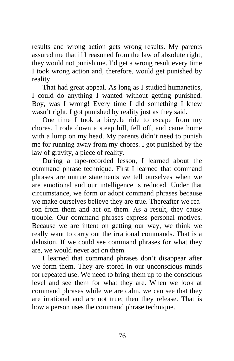results and wrong action gets wrong results. My parents assured me that if I reasoned from the law of absolute right, they would not punish me. I'd get a wrong result every time I took wrong action and, therefore, would get punished by reality.

That had great appeal. As long as I studied humanetics, I could do anything I wanted without getting punished. Boy, was I wrong! Every time I did something I knew wasn't right, I got punished by reality just as they said.

One time I took a bicycle ride to escape from my chores. I rode down a steep hill, fell off, and came home with a lump on my head. My parents didn't need to punish me for running away from my chores. I got punished by the law of gravity, a piece of reality.

During a tape-recorded lesson, I learned about the command phrase technique. First I learned that command phrases are untrue statements we tell ourselves when we are emotional and our intelligence is reduced. Under that circumstance, we form or adopt command phrases because we make ourselves believe they are true. Thereafter we reason from them and act on them. As a result, they cause trouble. Our command phrases express personal motives. Because we are intent on getting our way, we think we really want to carry out the irrational commands. That is a delusion. If we could see command phrases for what they are, we would never act on them.

I learned that command phrases don't disappear after we form them. They are stored in our unconscious minds for repeated use. We need to bring them up to the conscious level and see them for what they are. When we look at command phrases while we are calm, we can see that they are irrational and are not true; then they release. That is how a person uses the command phrase technique.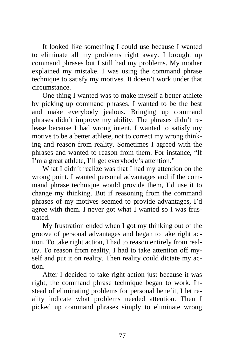It looked like something I could use because I wanted to eliminate all my problems right away. I brought up command phrases but I still had my problems. My mother explained my mistake. I was using the command phrase technique to satisfy my motives. It doesn't work under that circumstance.

One thing I wanted was to make myself a better athlete by picking up command phrases. I wanted to be the best and make everybody jealous. Bringing up command phrases didn't improve my ability. The phrases didn't release because I had wrong intent. I wanted to satisfy my motive to be a better athlete, not to correct my wrong thinking and reason from reality. Sometimes I agreed with the phrases and wanted to reason from them. For instance, "If I'm a great athlete, I'll get everybody's attention."

What I didn't realize was that I had my attention on the wrong point. I wanted personal advantages and if the command phrase technique would provide them, I'd use it to change my thinking. But if reasoning from the command phrases of my motives seemed to provide advantages, I'd agree with them. I never got what I wanted so I was frustrated.

My frustration ended when I got my thinking out of the groove of personal advantages and began to take right action. To take right action, I had to reason entirely from reality. To reason from reality, I had to take attention off myself and put it on reality. Then reality could dictate my action.

After I decided to take right action just because it was right, the command phrase technique began to work. Instead of eliminating problems for personal benefit, I let reality indicate what problems needed attention. Then I picked up command phrases simply to eliminate wrong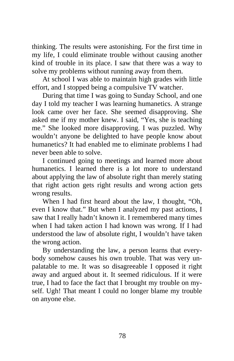thinking. The results were astonishing. For the first time in my life, I could eliminate trouble without causing another kind of trouble in its place. I saw that there was a way to solve my problems without running away from them.

At school I was able to maintain high grades with little effort, and I stopped being a compulsive TV watcher.

During that time I was going to Sunday School, and one day I told my teacher I was learning humanetics. A strange look came over her face. She seemed disapproving. She asked me if my mother knew. I said, "Yes, she is teaching me." She looked more disapproving. I was puzzled. Why wouldn't anyone be delighted to have people know about humanetics? It had enabled me to eliminate problems I had never been able to solve.

I continued going to meetings and learned more about humanetics. I learned there is a lot more to understand about applying the law of absolute right than merely stating that right action gets right results and wrong action gets wrong results.

When I had first heard about the law, I thought, "Oh, even I know that." But when I analyzed my past actions, I saw that I really hadn't known it. I remembered many times when I had taken action I had known was wrong. If I had understood the law of absolute right, I wouldn't have taken the wrong action.

By understanding the law, a person learns that everybody somehow causes his own trouble. That was very unpalatable to me. It was so disagreeable I opposed it right away and argued about it. It seemed ridiculous. If it were true, I had to face the fact that I brought my trouble on myself. Ugh! That meant I could no longer blame my trouble on anyone else.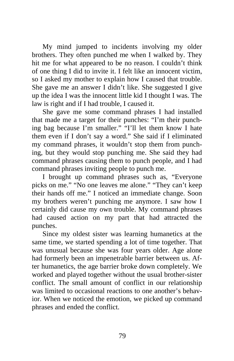My mind jumped to incidents involving my older brothers. They often punched me when I walked by. They hit me for what appeared to be no reason. I couldn't think of one thing I did to invite it. I felt like an innocent victim, so I asked my mother to explain how I caused that trouble. She gave me an answer I didn't like. She suggested I give up the idea I was the innocent little kid I thought I was. The law is right and if I had trouble, I caused it.

She gave me some command phrases I had installed that made me a target for their punches: "I'm their punching bag because I'm smaller." "I'll let them know I hate them even if I don't say a word." She said if I eliminated my command phrases, it wouldn't stop them from punching, but they would stop punching me. She said they had command phrases causing them to punch people, and I had command phrases inviting people to punch me.

I brought up command phrases such as, "Everyone picks on me." "No one leaves me alone." "They can't keep their hands off me." I noticed an immediate change. Soon my brothers weren't punching me anymore. I saw how I certainly did cause my own trouble. My command phrases had caused action on my part that had attracted the punches.

Since my oldest sister was learning humanetics at the same time, we started spending a lot of time together. That was unusual because she was four years older. Age alone had formerly been an impenetrable barrier between us. After humanetics, the age barrier broke down completely. We worked and played together without the usual brother-sister conflict. The small amount of conflict in our relationship was limited to occasional reactions to one another's behavior. When we noticed the emotion, we picked up command phrases and ended the conflict.

79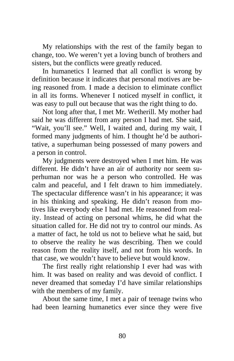My relationships with the rest of the family began to change, too. We weren't yet a loving bunch of brothers and sisters, but the conflicts were greatly reduced.

In humanetics I learned that all conflict is wrong by definition because it indicates that personal motives are being reasoned from. I made a decision to eliminate conflict in all its forms. Whenever I noticed myself in conflict, it was easy to pull out because that was the right thing to do.

Not long after that, I met Mr. Wetherill. My mother had said he was different from any person I had met. She said, "Wait, you'll see." Well, I waited and, during my wait, I formed many judgments of him. I thought he'd be authoritative, a superhuman being possessed of many powers and a person in control.

My judgments were destroyed when I met him. He was different. He didn't have an air of authority nor seem superhuman nor was he a person who controlled. He was calm and peaceful, and I felt drawn to him immediately. The spectacular difference wasn't in his appearance; it was in his thinking and speaking. He didn't reason from motives like everybody else I had met. He reasoned from reality. Instead of acting on personal whims, he did what the situation called for. He did not try to control our minds. As a matter of fact, he told us not to believe what he said, but to observe the reality he was describing. Then we could reason from the reality itself, and not from his words. In that case, we wouldn't have to believe but would know.

The first really right relationship I ever had was with him. It was based on reality and was devoid of conflict. I never dreamed that someday I'd have similar relationships with the members of my family.

About the same time, I met a pair of teenage twins who had been learning humanetics ever since they were five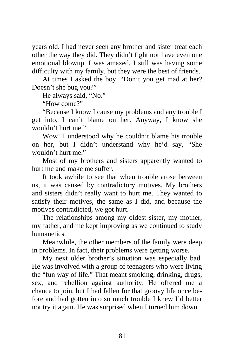years old. I had never seen any brother and sister treat each other the way they did. They didn't fight nor have even one emotional blowup. I was amazed. I still was having some difficulty with my family, but they were the best of friends.

At times I asked the boy, "Don't you get mad at her? Doesn't she bug you?"

He always said, "No."

"How come?"

"Because I know I cause my problems and any trouble I get into, I can't blame on her. Anyway, I know she wouldn't hurt me."

Wow! I understood why he couldn't blame his trouble on her, but I didn't understand why he'd say, "She wouldn't hurt me."

Most of my brothers and sisters apparently wanted to hurt me and make me suffer.

It took awhile to see that when trouble arose between us, it was caused by contradictory motives. My brothers and sisters didn't really want to hurt me. They wanted to satisfy their motives, the same as I did, and because the motives contradicted, we got hurt.

The relationships among my oldest sister, my mother, my father, and me kept improving as we continued to study humanetics.

Meanwhile, the other members of the family were deep in problems. In fact, their problems were getting worse.

My next older brother's situation was especially bad. He was involved with a group of teenagers who were living the "fun way of life." That meant smoking, drinking, drugs, sex, and rebellion against authority. He offered me a chance to join, but I had fallen for that groovy life once before and had gotten into so much trouble I knew I'd better not try it again. He was surprised when I turned him down.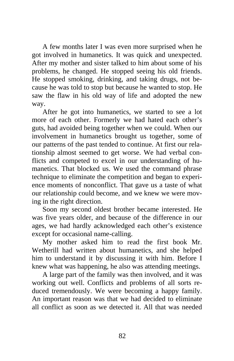A few months later I was even more surprised when he got involved in humanetics. It was quick and unexpected. After my mother and sister talked to him about some of his problems, he changed. He stopped seeing his old friends. He stopped smoking, drinking, and taking drugs, not because he was told to stop but because he wanted to stop. He saw the flaw in his old way of life and adopted the new way.

After he got into humanetics, we started to see a lot more of each other. Formerly we had hated each other's guts, had avoided being together when we could. When our involvement in humanetics brought us together, some of our patterns of the past tended to continue. At first our relationship almost seemed to get worse. We had verbal conflicts and competed to excel in our understanding of humanetics. That blocked us. We used the command phrase technique to eliminate the competition and began to experience moments of nonconflict. That gave us a taste of what our relationship could become, and we knew we were moving in the right direction.

Soon my second oldest brother became interested. He was five years older, and because of the difference in our ages, we had hardly acknowledged each other's existence except for occasional name-calling.

My mother asked him to read the first book Mr. Wetherill had written about humanetics, and she helped him to understand it by discussing it with him. Before I knew what was happening, he also was attending meetings.

A large part of the family was then involved, and it was working out well. Conflicts and problems of all sorts reduced tremendously. We were becoming a happy family. An important reason was that we had decided to eliminate all conflict as soon as we detected it. All that was needed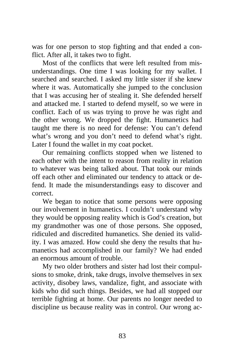was for one person to stop fighting and that ended a conflict. After all, it takes two to fight.

Most of the conflicts that were left resulted from misunderstandings. One time I was looking for my wallet. I searched and searched. I asked my little sister if she knew where it was. Automatically she jumped to the conclusion that I was accusing her of stealing it. She defended herself and attacked me. I started to defend myself, so we were in conflict. Each of us was trying to prove he was right and the other wrong. We dropped the fight. Humanetics had taught me there is no need for defense: You can't defend what's wrong and you don't need to defend what's right. Later I found the wallet in my coat pocket.

Our remaining conflicts stopped when we listened to each other with the intent to reason from reality in relation to whatever was being talked about. That took our minds off each other and eliminated our tendency to attack or defend. It made the misunderstandings easy to discover and correct.

We began to notice that some persons were opposing our involvement in humanetics. I couldn't understand why they would be opposing reality which is God's creation, but my grandmother was one of those persons. She opposed, ridiculed and discredited humanetics. She denied its validity. I was amazed. How could she deny the results that humanetics had accomplished in our family? We had ended an enormous amount of trouble.

My two older brothers and sister had lost their compulsions to smoke, drink, take drugs, involve themselves in sex activity, disobey laws, vandalize, fight, and associate with kids who did such things. Besides, we had all stopped our terrible fighting at home. Our parents no longer needed to discipline us because reality was in control. Our wrong ac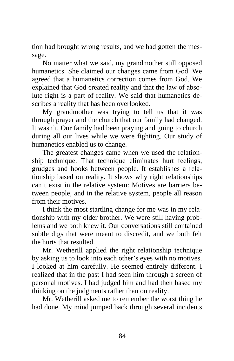tion had brought wrong results, and we had gotten the message.

No matter what we said, my grandmother still opposed humanetics. She claimed our changes came from God. We agreed that a humanetics correction comes from God. We explained that God created reality and that the law of absolute right is a part of reality. We said that humanetics describes a reality that has been overlooked.

My grandmother was trying to tell us that it was through prayer and the church that our family had changed. It wasn't. Our family had been praying and going to church during all our lives while we were fighting. Our study of humanetics enabled us to change.

The greatest changes came when we used the relationship technique. That technique eliminates hurt feelings, grudges and hooks between people. It establishes a relationship based on reality. It shows why right relationships can't exist in the relative system: Motives are barriers between people, and in the relative system, people all reason from their motives.

I think the most startling change for me was in my relationship with my older brother. We were still having problems and we both knew it. Our conversations still contained subtle digs that were meant to discredit, and we both felt the hurts that resulted.

Mr. Wetherill applied the right relationship technique by asking us to look into each other's eyes with no motives. I looked at him carefully. He seemed entirely different. I realized that in the past I had seen him through a screen of personal motives. I had judged him and had then based my thinking on the judgments rather than on reality.

Mr. Wetherill asked me to remember the worst thing he had done. My mind jumped back through several incidents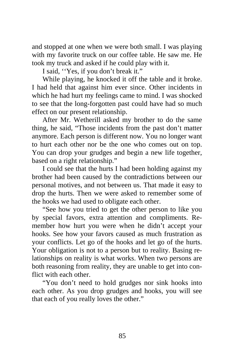and stopped at one when we were both small. I was playing with my favorite truck on our coffee table. He saw me. He took my truck and asked if he could play with it.

I said, ''Yes, if you don't break it."

While playing, he knocked it off the table and it broke. I had held that against him ever since. Other incidents in which he had hurt my feelings came to mind. I was shocked to see that the long-forgotten past could have had so much effect on our present relationship.

After Mr. Wetherill asked my brother to do the same thing, he said, "Those incidents from the past don't matter anymore. Each person is different now. You no longer want to hurt each other nor be the one who comes out on top. You can drop your grudges and begin a new life together, based on a right relationship."

I could see that the hurts I had been holding against my brother had been caused by the contradictions between our personal motives, and not between us. That made it easy to drop the hurts. Then we were asked to remember some of the hooks we had used to obligate each other.

"See how you tried to get the other person to like you by special favors, extra attention and compliments. Remember how hurt you were when he didn't accept your hooks. See how your favors caused as much frustration as your conflicts. Let go of the hooks and let go of the hurts. Your obligation is not to a person but to reality. Basing relationships on reality is what works. When two persons are both reasoning from reality, they are unable to get into conflict with each other.

"You don't need to hold grudges nor sink hooks into each other. As you drop grudges and hooks, you will see that each of you really loves the other."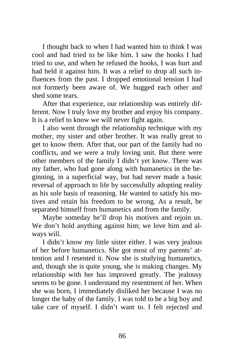I thought back to when I had wanted him to think I was cool and had tried to be like him. I saw the hooks I had tried to use, and when he refused the hooks, I was hurt and had held it against him. It was a relief to drop all such influences from the past. I dropped emotional tension I had not formerly been aware of. We hugged each other and shed some tears.

After that experience, our relationship was entirely different. Now I truly love my brother and enjoy his company. It is a relief to know we will never fight again.

I also went through the relationship technique with my mother, my sister and other brother. It was really great to get to know them. After that, our part of the family had no conflicts, and we were a truly loving unit. But there were other members of the family I didn't yet know. There was my father, who had gone along with humanetics in the beginning, in a superficial way, but had never made a basic reversal of approach to life by successfully adopting reality as his sole basis of reasoning. He wanted to satisfy his motives and retain his freedom to be wrong. As a result, he separated himself from humanetics and from the family.

Maybe someday he'll drop his motives and rejoin us. We don't hold anything against him; we love him and always will.

I didn't know my little sister either. I was very jealous of her before humanetics. She got most of my parents' attention and I resented it. Now she is studying humanetics, and, though she is quite young, she is making changes. My relationship with her has improved greatly. The jealousy seems to be gone. I understand my resentment of her. When she was born, I immediately disliked her because I was no longer the baby of the family. I was told to be a big boy and take care of myself. I didn't want to. I felt rejected and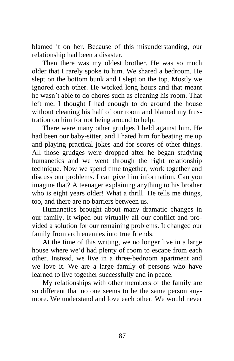blamed it on her. Because of this misunderstanding, our relationship had been a disaster.

Then there was my oldest brother. He was so much older that I rarely spoke to him. We shared a bedroom. He slept on the bottom bunk and I slept on the top. Mostly we ignored each other. He worked long hours and that meant he wasn't able to do chores such as cleaning his room. That left me. I thought I had enough to do around the house without cleaning his half of our room and blamed my frustration on him for not being around to help.

There were many other grudges I held against him. He had been our baby-sitter, and I hated him for beating me up and playing practical jokes and for scores of other things. All those grudges were dropped after he began studying humanetics and we went through the right relationship technique. Now we spend time together, work together and discuss our problems. I can give him information. Can you imagine that? A teenager explaining anything to his brother who is eight years older! What a thrill! He tells me things, too, and there are no barriers between us.

Humanetics brought about many dramatic changes in our family. It wiped out virtually all our conflict and provided a solution for our remaining problems. It changed our family from arch enemies into true friends.

At the time of this writing, we no longer live in a large house where we'd had plenty of room to escape from each other. Instead, we live in a three-bedroom apartment and we love it. We are a large family of persons who have learned to live together successfully and in peace.

My relationships with other members of the family are so different that no one seems to be the same person anymore. We understand and love each other. We would never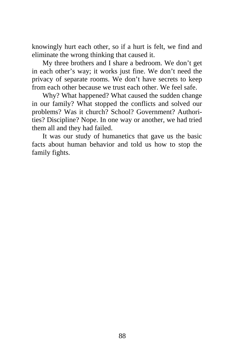knowingly hurt each other, so if a hurt is felt, we find and eliminate the wrong thinking that caused it.

My three brothers and I share a bedroom. We don't get in each other's way; it works just fine. We don't need the privacy of separate rooms. We don't have secrets to keep from each other because we trust each other. We feel safe.

Why? What happened? What caused the sudden change in our family? What stopped the conflicts and solved our problems? Was it church? School? Government? Authorities? Discipline? Nope. In one way or another, we had tried them all and they had failed.

It was our study of humanetics that gave us the basic facts about human behavior and told us how to stop the family fights.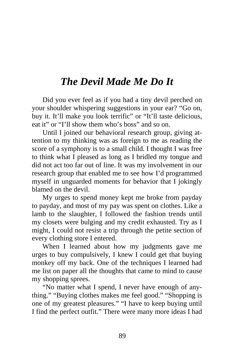## *The Devil Made Me Do It*

Did you ever feel as if you had a tiny devil perched on your shoulder whispering suggestions in your ear? "Go on, buy it. It'll make you look terrific" or "It'll taste delicious, eat it" or "I'll show them who's boss" and so on.

Until I joined our behavioral research group, giving attention to my thinking was as foreign to me as reading the score of a symphony is to a small child. I thought I was free to think what I pleased as long as I bridled my tongue and did not act too far out of line. It was my involvement in our research group that enabled me to see how I'd programmed myself in unguarded moments for behavior that I jokingly blamed on the devil.

My urges to spend money kept me broke from payday to payday, and most of my pay was spent on clothes. Like a lamb to the slaughter, I followed the fashion trends until my closets were bulging and my credit exhausted. Try as I might, I could not resist a trip through the petite section of every clothing store I entered.

When I learned about how my judgments gave me urges to buy compulsively, I knew I could get that buying monkey off my back. One of the techniques I learned had me list on paper all the thoughts that came to mind to cause my shopping sprees.

"No matter what I spend, I never have enough of anything." "Buying clothes makes me feel good." "Shopping is one of my greatest pleasures." "I have to keep buying until I find the perfect outfit." There were many more ideas I had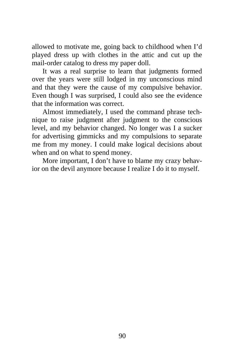allowed to motivate me, going back to childhood when I'd played dress up with clothes in the attic and cut up the mail-order catalog to dress my paper doll.

It was a real surprise to learn that judgments formed over the years were still lodged in my unconscious mind and that they were the cause of my compulsive behavior. Even though I was surprised, I could also see the evidence that the information was correct.

Almost immediately, I used the command phrase technique to raise judgment after judgment to the conscious level, and my behavior changed. No longer was I a sucker for advertising gimmicks and my compulsions to separate me from my money. I could make logical decisions about when and on what to spend money.

More important, I don't have to blame my crazy behavior on the devil anymore because I realize I do it to myself.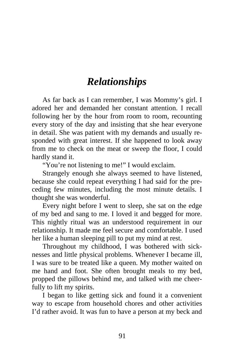## *Relationships*

As far back as I can remember, I was Mommy's girl. I adored her and demanded her constant attention. I recall following her by the hour from room to room, recounting every story of the day and insisting that she hear everyone in detail. She was patient with my demands and usually responded with great interest. If she happened to look away from me to check on the meat or sweep the floor, I could hardly stand it.

"You're not listening to me!" I would exclaim.

Strangely enough she always seemed to have listened, because she could repeat everything I had said for the preceding few minutes, including the most minute details. I thought she was wonderful.

Every night before I went to sleep, she sat on the edge of my bed and sang to me. I loved it and begged for more. This nightly ritual was an understood requirement in our relationship. It made me feel secure and comfortable. I used her like a human sleeping pill to put my mind at rest.

Throughout my childhood, I was bothered with sicknesses and little physical problems. Whenever I became ill, I was sure to be treated like a queen. My mother waited on me hand and foot. She often brought meals to my bed, propped the pillows behind me, and talked with me cheerfully to lift my spirits.

I began to like getting sick and found it a convenient way to escape from household chores and other activities I'd rather avoid. It was fun to have a person at my beck and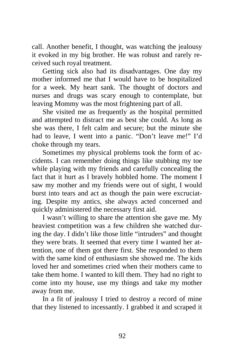call. Another benefit, I thought, was watching the jealousy it evoked in my big brother. He was robust and rarely received such royal treatment.

Getting sick also had its disadvantages. One day my mother informed me that I would have to be hospitalized for a week. My heart sank. The thought of doctors and nurses and drugs was scary enough to contemplate, but leaving Mommy was the most frightening part of all.

She visited me as frequently as the hospital permitted and attempted to distract me as best she could. As long as she was there, I felt calm and secure; but the minute she had to leave, I went into a panic. "Don't leave me!" I'd choke through my tears.

Sometimes my physical problems took the form of accidents. I can remember doing things like stubbing my toe while playing with my friends and carefully concealing the fact that it hurt as I bravely hobbled home. The moment I saw my mother and my friends were out of sight, I would burst into tears and act as though the pain were excruciating. Despite my antics, she always acted concerned and quickly administered the necessary first aid.

I wasn't willing to share the attention she gave me. My heaviest competition was a few children she watched during the day. I didn't like those little "intruders" and thought they were brats. It seemed that every time I wanted her attention, one of them got there first. She responded to them with the same kind of enthusiasm she showed me. The kids loved her and sometimes cried when their mothers came to take them home. I wanted to kill them. They had no right to come into my house, use my things and take my mother away from me.

In a fit of jealousy I tried to destroy a record of mine that they listened to incessantly. I grabbed it and scraped it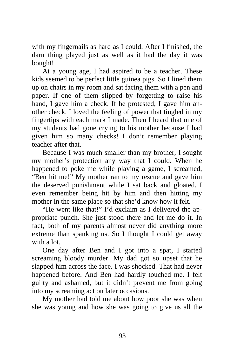with my fingernails as hard as I could. After I finished, the darn thing played just as well as it had the day it was bought!

At a young age, I had aspired to be a teacher. These kids seemed to be perfect little guinea pigs. So I lined them up on chairs in my room and sat facing them with a pen and paper. If one of them slipped by forgetting to raise his hand, I gave him a check. If he protested, I gave him another check. I loved the feeling of power that tingled in my fingertips with each mark I made. Then I heard that one of my students had gone crying to his mother because I had given him so many checks! I don't remember playing teacher after that.

Because I was much smaller than my brother, I sought my mother's protection any way that I could. When he happened to poke me while playing a game, I screamed, "Ben hit me!" My mother ran to my rescue and gave him the deserved punishment while I sat back and gloated. I even remember being hit by him and then hitting my mother in the same place so that she'd know how it felt.

"He went like that!" I'd exclaim as I delivered the appropriate punch. She just stood there and let me do it. In fact, both of my parents almost never did anything more extreme than spanking us. So I thought I could get away with a lot.

One day after Ben and I got into a spat, I started screaming bloody murder. My dad got so upset that he slapped him across the face. I was shocked. That had never happened before. And Ben had hardly touched me. I felt guilty and ashamed, but it didn't prevent me from going into my screaming act on later occasions.

My mother had told me about how poor she was when she was young and how she was going to give us all the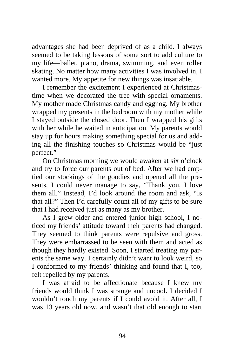advantages she had been deprived of as a child. I always seemed to be taking lessons of some sort to add culture to my life—ballet, piano, drama, swimming, and even roller skating. No matter how many activities I was involved in, I wanted more. My appetite for new things was insatiable.

I remember the excitement I experienced at Christmastime when we decorated the tree with special ornaments. My mother made Christmas candy and eggnog. My brother wrapped my presents in the bedroom with my mother while I stayed outside the closed door. Then I wrapped his gifts with her while he waited in anticipation. My parents would stay up for hours making something special for us and adding all the finishing touches so Christmas would be "just perfect."

On Christmas morning we would awaken at six o'clock and try to force our parents out of bed. After we had emptied our stockings of the goodies and opened all the presents, I could never manage to say, "Thank you, I love them all." Instead, I'd look around the room and ask, "Is that all?" Then I'd carefully count all of my gifts to be sure that I had received just as many as my brother.

As I grew older and entered junior high school, I noticed my friends' attitude toward their parents had changed. They seemed to think parents were repulsive and gross. They were embarrassed to be seen with them and acted as though they hardly existed. Soon, I started treating my parents the same way. I certainly didn't want to look weird, so I conformed to my friends' thinking and found that I, too, felt repelled by my parents.

I was afraid to be affectionate because I knew my friends would think I was strange and uncool. I decided I wouldn't touch my parents if I could avoid it. After all, I was 13 years old now, and wasn't that old enough to start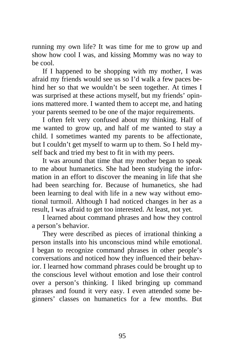running my own life? It was time for me to grow up and show how cool I was, and kissing Mommy was no way to be cool.

If I happened to be shopping with my mother, I was afraid my friends would see us so I'd walk a few paces behind her so that we wouldn't be seen together. At times I was surprised at these actions myself, but my friends' opinions mattered more. I wanted them to accept me, and hating your parents seemed to be one of the major requirements.

I often felt very confused about my thinking. Half of me wanted to grow up, and half of me wanted to stay a child. I sometimes wanted my parents to be affectionate, but I couldn't get myself to warm up to them. So I held myself back and tried my best to fit in with my peers.

It was around that time that my mother began to speak to me about humanetics. She had been studying the information in an effort to discover the meaning in life that she had been searching for. Because of humanetics, she had been learning to deal with life in a new way without emotional turmoil. Although I had noticed changes in her as a result, I was afraid to get too interested. At least, not yet.

I learned about command phrases and how they control a person's behavior.

They were described as pieces of irrational thinking a person installs into his unconscious mind while emotional. I began to recognize command phrases in other people's conversations and noticed how they influenced their behavior. I learned how command phrases could be brought up to the conscious level without emotion and lose their control over a person's thinking. I liked bringing up command phrases and found it very easy. I even attended some beginners' classes on humanetics for a few months. But

95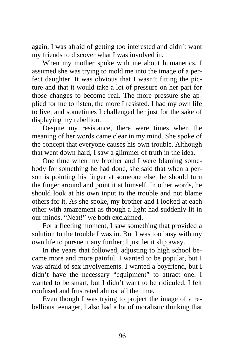again, I was afraid of getting too interested and didn't want my friends to discover what I was involved in.

When my mother spoke with me about humanetics, I assumed she was trying to mold me into the image of a perfect daughter. It was obvious that I wasn't fitting the picture and that it would take a lot of pressure on her part for those changes to become real. The more pressure she applied for me to listen, the more I resisted. I had my own life to live, and sometimes I challenged her just for the sake of displaying my rebellion.

Despite my resistance, there were times when the meaning of her words came clear in my mind. She spoke of the concept that everyone causes his own trouble. Although that went down hard, I saw a glimmer of truth in the idea.

One time when my brother and I were blaming somebody for something he had done, she said that when a person is pointing his finger at someone else, he should turn the finger around and point it at himself. In other words, he should look at his own input to the trouble and not blame others for it. As she spoke, my brother and I looked at each other with amazement as though a light had suddenly lit in our minds. "Neat!" we both exclaimed.

For a fleeting moment, I saw something that provided a solution to the trouble I was in. But I was too busy with my own life to pursue it any further; I just let it slip away.

In the years that followed, adjusting to high school became more and more painful. I wanted to be popular, but I was afraid of sex involvements. I wanted a boyfriend, but I didn't have the necessary "equipment" to attract one. I wanted to be smart, but I didn't want to be ridiculed. I felt confused and frustrated almost all the time.

Even though I was trying to project the image of a rebellious teenager, I also had a lot of moralistic thinking that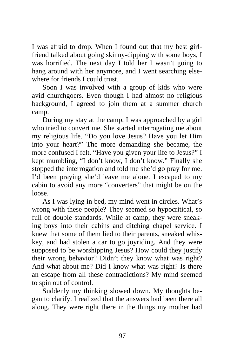I was afraid to drop. When I found out that my best girlfriend talked about going skinny-dipping with some boys, I was horrified. The next day I told her I wasn't going to hang around with her anymore, and I went searching elsewhere for friends I could trust.

Soon I was involved with a group of kids who were avid churchgoers. Even though I had almost no religious background, I agreed to join them at a summer church camp.

During my stay at the camp, I was approached by a girl who tried to convert me. She started interrogating me about my religious life. "Do you love Jesus? Have you let Him into your heart?" The more demanding she became, the more confused I felt. "Have you given your life to Jesus?" I kept mumbling, "I don't know, I don't know." Finally she stopped the interrogation and told me she'd go pray for me. I'd been praying she'd leave me alone. I escaped to my cabin to avoid any more "converters" that might be on the loose.

As I was lying in bed, my mind went in circles. What's wrong with these people? They seemed so hypocritical, so full of double standards. While at camp, they were sneaking boys into their cabins and ditching chapel service. I knew that some of them lied to their parents, sneaked whiskey, and had stolen a car to go joyriding. And they were supposed to be worshipping Jesus? How could they justify their wrong behavior? Didn't they know what was right? And what about me? Did I know what was right? Is there an escape from all these contradictions? My mind seemed to spin out of control.

Suddenly my thinking slowed down. My thoughts began to clarify. I realized that the answers had been there all along. They were right there in the things my mother had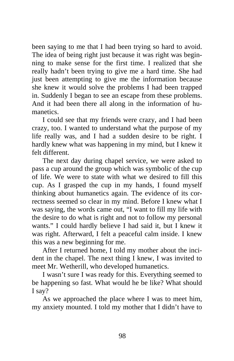been saying to me that I had been trying so hard to avoid. The idea of being right just because it was right was beginning to make sense for the first time. I realized that she really hadn't been trying to give me a hard time. She had just been attempting to give me the information because she knew it would solve the problems I had been trapped in. Suddenly I began to see an escape from these problems. And it had been there all along in the information of humanetics.

I could see that my friends were crazy, and I had been crazy, too. I wanted to understand what the purpose of my life really was, and I had a sudden desire to be right. I hardly knew what was happening in my mind, but I knew it felt different.

The next day during chapel service, we were asked to pass a cup around the group which was symbolic of the cup of life. We were to state with what we desired to fill this cup. As I grasped the cup in my hands, I found myself thinking about humanetics again. The evidence of its correctness seemed so clear in my mind. Before I knew what I was saying, the words came out, "I want to fill my life with the desire to do what is right and not to follow my personal wants." I could hardly believe I had said it, but I knew it was right. Afterward, I felt a peaceful calm inside. I knew this was a new beginning for me.

After I returned home, I told my mother about the incident in the chapel. The next thing I knew, I was invited to meet Mr. Wetherill, who developed humanetics.

I wasn't sure I was ready for this. Everything seemed to be happening so fast. What would he be like? What should I say?

As we approached the place where I was to meet him, my anxiety mounted. I told my mother that I didn't have to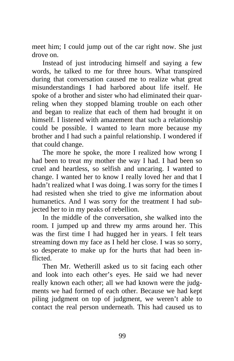meet him; I could jump out of the car right now. She just drove on.

Instead of just introducing himself and saying a few words, he talked to me for three hours. What transpired during that conversation caused me to realize what great misunderstandings I had harbored about life itself. He spoke of a brother and sister who had eliminated their quarreling when they stopped blaming trouble on each other and began to realize that each of them had brought it on himself. I listened with amazement that such a relationship could be possible. I wanted to learn more because my brother and I had such a painful relationship. I wondered if that could change.

The more he spoke, the more I realized how wrong I had been to treat my mother the way I had. I had been so cruel and heartless, so selfish and uncaring. I wanted to change. I wanted her to know I really loved her and that I hadn't realized what I was doing. I was sorry for the times I had resisted when she tried to give me information about humanetics. And I was sorry for the treatment I had subjected her to in my peaks of rebellion.

In the middle of the conversation, she walked into the room. I jumped up and threw my arms around her. This was the first time I had hugged her in years. I felt tears streaming down my face as I held her close. I was so sorry, so desperate to make up for the hurts that had been inflicted.

Then Mr. Wetherill asked us to sit facing each other and look into each other's eyes. He said we had never really known each other; all we had known were the judgments we had formed of each other. Because we had kept piling judgment on top of judgment, we weren't able to contact the real person underneath. This had caused us to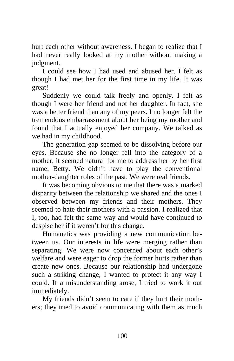hurt each other without awareness. I began to realize that I had never really looked at my mother without making a judgment.

I could see how I had used and abused her. I felt as though I had met her for the first time in my life. It was great!

Suddenly we could talk freely and openly. I felt as though I were her friend and not her daughter. In fact, she was a better friend than any of my peers. I no longer felt the tremendous embarrassment about her being my mother and found that I actually enjoyed her company. We talked as we had in my childhood.

The generation gap seemed to be dissolving before our eyes. Because she no longer fell into the category of a mother, it seemed natural for me to address her by her first name, Betty. We didn't have to play the conventional mother-daughter roles of the past. We were real friends.

It was becoming obvious to me that there was a marked disparity between the relationship we shared and the ones I observed between my friends and their mothers. They seemed to hate their mothers with a passion. I realized that I, too, had felt the same way and would have continued to despise her if it weren't for this change.

Humanetics was providing a new communication between us. Our interests in life were merging rather than separating. We were now concerned about each other's welfare and were eager to drop the former hurts rather than create new ones. Because our relationship had undergone such a striking change, I wanted to protect it any way I could. If a misunderstanding arose, I tried to work it out immediately.

My friends didn't seem to care if they hurt their mothers; they tried to avoid communicating with them as much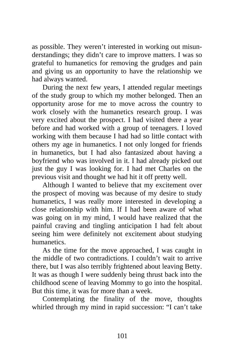as possible. They weren't interested in working out misunderstandings; they didn't care to improve matters. I was so grateful to humanetics for removing the grudges and pain and giving us an opportunity to have the relationship we had always wanted.

During the next few years, I attended regular meetings of the study group to which my mother belonged. Then an opportunity arose for me to move across the country to work closely with the humanetics research group. I was very excited about the prospect. I had visited there a year before and had worked with a group of teenagers. I loved working with them because I had had so little contact with others my age in humanetics. I not only longed for friends in humanetics, but I had also fantasized about having a boyfriend who was involved in it. I had already picked out just the guy I was looking for. I had met Charles on the previous visit and thought we had hit it off pretty well.

Although I wanted to believe that my excitement over the prospect of moving was because of my desire to study humanetics, I was really more interested in developing a close relationship with him. If I had been aware of what was going on in my mind, I would have realized that the painful craving and tingling anticipation I had felt about seeing him were definitely not excitement about studying humanetics.

As the time for the move approached, I was caught in the middle of two contradictions. I couldn't wait to arrive there, but I was also terribly frightened about leaving Betty. It was as though I were suddenly being thrust back into the childhood scene of leaving Mommy to go into the hospital. But this time, it was for more than a week.

Contemplating the finality of the move, thoughts whirled through my mind in rapid succession: "I can't take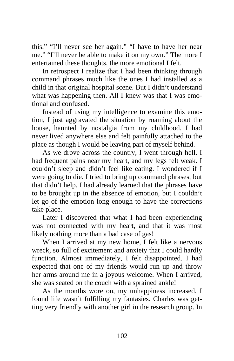this." "I'll never see her again." "I have to have her near me." "I'll never be able to make it on my own." The more I entertained these thoughts, the more emotional I felt.

In retrospect I realize that I had been thinking through command phrases much like the ones I had installed as a child in that original hospital scene. But I didn't understand what was happening then. All I knew was that I was emotional and confused.

Instead of using my intelligence to examine this emotion, I just aggravated the situation by roaming about the house, haunted by nostalgia from my childhood. I had never lived anywhere else and felt painfully attached to the place as though I would be leaving part of myself behind.

As we drove across the country, I went through hell. I had frequent pains near my heart, and my legs felt weak. I couldn't sleep and didn't feel like eating. I wondered if I were going to die. I tried to bring up command phrases, but that didn't help. I had already learned that the phrases have to be brought up in the absence of emotion, but I couldn't let go of the emotion long enough to have the corrections take place.

Later I discovered that what I had been experiencing was not connected with my heart, and that it was most likely nothing more than a bad case of gas!

When I arrived at my new home, I felt like a nervous wreck, so full of excitement and anxiety that I could hardly function. Almost immediately, I felt disappointed. I had expected that one of my friends would run up and throw her arms around me in a joyous welcome. When I arrived, she was seated on the couch with a sprained ankle!

As the months wore on, my unhappiness increased. I found life wasn't fulfilling my fantasies. Charles was getting very friendly with another girl in the research group. In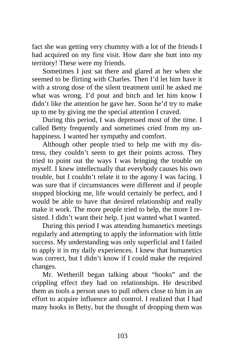fact she was getting very chummy with a lot of the friends I had acquired on my first visit. How dare she butt into my territory! These were my friends.

Sometimes I just sat there and glared at her when she seemed to be flirting with Charles. Then I'd let him have it with a strong dose of the silent treatment until he asked me what was wrong. I'd pout and bitch and let him know I didn't like the attention he gave her. Soon he'd try to make up to me by giving me the special attention I craved.

During this period, I was depressed most of the time. I called Betty frequently and sometimes cried from my unhappiness. I wanted her sympathy and comfort.

Although other people tried to help me with my distress, they couldn't seem to get their points across. They tried to point out the ways I was bringing the trouble on myself. I knew intellectually that everybody causes his own trouble, but I couldn't relate it to the agony I was facing. I was sure that if circumstances were different and if people stopped blocking me, life would certainly be perfect, and I would be able to have that desired relationship and really make it work. The more people tried to help, the more I resisted. I didn't want their help. I just wanted what I wanted.

During this period I was attending humanetics meetings regularly and attempting to apply the information with little success. My understanding was only superficial and I failed to apply it in my daily experiences. I knew that humanetics was correct, but I didn't know if I could make the required changes.

Mr. Wetherill began talking about "hooks" and the crippling effect they had on relationships. He described them as tools a person uses to pull others close to him in an effort to acquire influence and control. I realized that I had many hooks in Betty, but the thought of dropping them was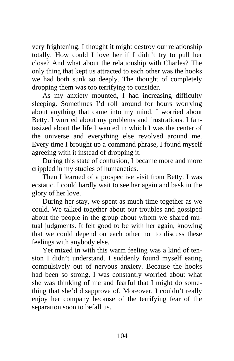very frightening. I thought it might destroy our relationship totally. How could I love her if I didn't try to pull her close? And what about the relationship with Charles? The only thing that kept us attracted to each other was the hooks we had both sunk so deeply. The thought of completely dropping them was too terrifying to consider.

As my anxiety mounted, I had increasing difficulty sleeping. Sometimes I'd roll around for hours worrying about anything that came into my mind. I worried about Betty. I worried about my problems and frustrations. I fantasized about the life I wanted in which I was the center of the universe and everything else revolved around me. Every time I brought up a command phrase, I found myself agreeing with it instead of dropping it.

During this state of confusion, I became more and more crippled in my studies of humanetics.

Then I learned of a prospective visit from Betty. I was ecstatic. I could hardly wait to see her again and bask in the glory of her love.

During her stay, we spent as much time together as we could. We talked together about our troubles and gossiped about the people in the group about whom we shared mutual judgments. It felt good to be with her again, knowing that we could depend on each other not to discuss these feelings with anybody else.

Yet mixed in with this warm feeling was a kind of tension I didn't understand. I suddenly found myself eating compulsively out of nervous anxiety. Because the hooks had been so strong, I was constantly worried about what she was thinking of me and fearful that I might do something that she'd disapprove of. Moreover, I couldn't really enjoy her company because of the terrifying fear of the separation soon to befall us.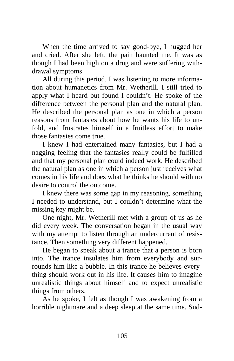When the time arrived to say good-bye, I hugged her and cried. After she left, the pain haunted me. It was as though I had been high on a drug and were suffering withdrawal symptoms.

All during this period, I was listening to more information about humanetics from Mr. Wetherill. I still tried to apply what I heard but found I couldn't. He spoke of the difference between the personal plan and the natural plan. He described the personal plan as one in which a person reasons from fantasies about how he wants his life to unfold, and frustrates himself in a fruitless effort to make those fantasies come true.

I knew I had entertained many fantasies, but I had a nagging feeling that the fantasies really could be fulfilled and that my personal plan could indeed work. He described the natural plan as one in which a person just receives what comes in his life and does what he thinks he should with no desire to control the outcome.

I knew there was some gap in my reasoning, something I needed to understand, but I couldn't determine what the missing key might be.

One night, Mr. Wetherill met with a group of us as he did every week. The conversation began in the usual way with my attempt to listen through an undercurrent of resistance. Then something very different happened.

He began to speak about a trance that a person is born into. The trance insulates him from everybody and surrounds him like a bubble. In this trance he believes everything should work out in his life. It causes him to imagine unrealistic things about himself and to expect unrealistic things from others.

As he spoke, I felt as though I was awakening from a horrible nightmare and a deep sleep at the same time. Sud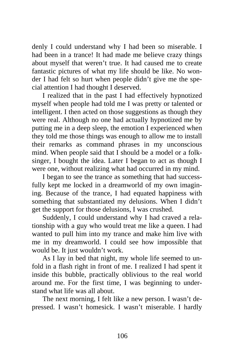denly I could understand why I had been so miserable. I had been in a trance! It had made me believe crazy things about myself that weren't true. It had caused me to create fantastic pictures of what my life should be like. No wonder I had felt so hurt when people didn't give me the special attention I had thought I deserved.

I realized that in the past I had effectively hypnotized myself when people had told me I was pretty or talented or intelligent. I then acted on those suggestions as though they were real. Although no one had actually hypnotized me by putting me in a deep sleep, the emotion I experienced when they told me those things was enough to allow me to install their remarks as command phrases in my unconscious mind. When people said that I should be a model or a folksinger, I bought the idea. Later I began to act as though I were one, without realizing what had occurred in my mind.

I began to see the trance as something that had successfully kept me locked in a dreamworld of my own imagining. Because of the trance, I had equated happiness with something that substantiated my delusions. When I didn't get the support for those delusions, I was crushed.

Suddenly, I could understand why I had craved a relationship with a guy who would treat me like a queen. I had wanted to pull him into my trance and make him live with me in my dreamworld. I could see how impossible that would be. It just wouldn't work.

As I lay in bed that night, my whole life seemed to unfold in a flash right in front of me. I realized I had spent it inside this bubble, practically oblivious to the real world around me. For the first time, I was beginning to understand what life was all about.

The next morning, I felt like a new person. I wasn't depressed. I wasn't homesick. I wasn't miserable. I hardly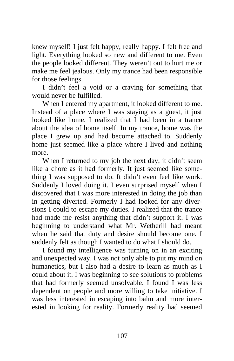knew myself! I just felt happy, really happy. I felt free and light. Everything looked so new and different to me. Even the people looked different. They weren't out to hurt me or make me feel jealous. Only my trance had been responsible for those feelings.

I didn't feel a void or a craving for something that would never be fulfilled.

When I entered my apartment, it looked different to me. Instead of a place where I was staying as a guest, it just looked like home. I realized that I had been in a trance about the idea of home itself. In my trance, home was the place I grew up and had become attached to. Suddenly home just seemed like a place where I lived and nothing more.

When I returned to my job the next day, it didn't seem like a chore as it had formerly. It just seemed like something I was supposed to do. It didn't even feel like work. Suddenly I loved doing it. I even surprised myself when I discovered that I was more interested in doing the job than in getting diverted. Formerly I had looked for any diversions I could to escape my duties. I realized that the trance had made me resist anything that didn't support it. I was beginning to understand what Mr. Wetherill had meant when he said that duty and desire should become one. I suddenly felt as though I wanted to do what I should do.

I found my intelligence was turning on in an exciting and unexpected way. I was not only able to put my mind on humanetics, but I also had a desire to learn as much as I could about it. I was beginning to see solutions to problems that had formerly seemed unsolvable. I found I was less dependent on people and more willing to take initiative. I was less interested in escaping into balm and more interested in looking for reality. Formerly reality had seemed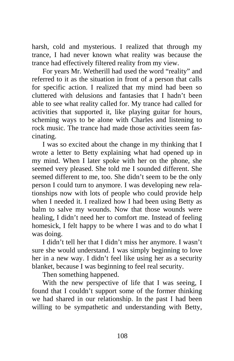harsh, cold and mysterious. I realized that through my trance, I had never known what reality was because the trance had effectively filtered reality from my view.

For years Mr. Wetherill had used the word "reality" and referred to it as the situation in front of a person that calls for specific action. I realized that my mind had been so cluttered with delusions and fantasies that I hadn't been able to see what reality called for. My trance had called for activities that supported it, like playing guitar for hours, scheming ways to be alone with Charles and listening to rock music. The trance had made those activities seem fascinating.

I was so excited about the change in my thinking that I wrote a letter to Betty explaining what had opened up in my mind. When I later spoke with her on the phone, she seemed very pleased. She told me I sounded different. She seemed different to me, too. She didn't seem to be the only person I could turn to anymore. I was developing new relationships now with lots of people who could provide help when I needed it. I realized how I had been using Betty as balm to salve my wounds. Now that those wounds were healing, I didn't need her to comfort me. Instead of feeling homesick, I felt happy to be where I was and to do what I was doing.

I didn't tell her that I didn't miss her anymore. I wasn't sure she would understand. I was simply beginning to love her in a new way. I didn't feel like using her as a security blanket, because I was beginning to feel real security.

Then something happened.

With the new perspective of life that I was seeing, I found that I couldn't support some of the former thinking we had shared in our relationship. In the past I had been willing to be sympathetic and understanding with Betty,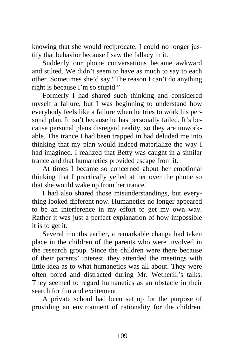knowing that she would reciprocate. I could no longer justify that behavior because I saw the fallacy in it.

Suddenly our phone conversations became awkward and stilted. We didn't seem to have as much to say to each other. Sometimes she'd say "The reason I can't do anything right is because I'm so stupid."

Formerly I had shared such thinking and considered myself a failure, but I was beginning to understand how everybody feels like a failure when he tries to work his personal plan. It isn't because he has personally failed. It's because personal plans disregard reality, so they are unworkable. The trance I had been trapped in had deluded me into thinking that my plan would indeed materialize the way I had imagined. I realized that Betty was caught in a similar trance and that humanetics provided escape from it.

At times I became so concerned about her emotional thinking that I practically yelled at her over the phone so that she would wake up from her trance.

I had also shared those misunderstandings, but everything looked different now. Humanetics no longer appeared to be an interference in my effort to get my own way. Rather it was just a perfect explanation of how impossible it is to get it.

Several months earlier, a remarkable change had taken place in the children of the parents who were involved in the research group. Since the children were there because of their parents' interest, they attended the meetings with little idea as to what humanetics was all about. They were often bored and distracted during Mr. Wetherill's talks. They seemed to regard humanetics as an obstacle in their search for fun and excitement.

A private school had been set up for the purpose of providing an environment of rationality for the children.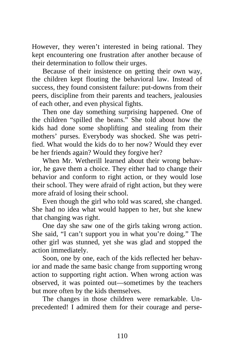However, they weren't interested in being rational. They kept encountering one frustration after another because of their determination to follow their urges.

Because of their insistence on getting their own way, the children kept flouting the behavioral law. Instead of success, they found consistent failure: put-downs from their peers, discipline from their parents and teachers, jealousies of each other, and even physical fights.

Then one day something surprising happened. One of the children "spilled the beans." She told about how the kids had done some shoplifting and stealing from their mothers' purses. Everybody was shocked. She was petrified. What would the kids do to her now? Would they ever be her friends again? Would they forgive her?

When Mr. Wetherill learned about their wrong behavior, he gave them a choice. They either had to change their behavior and conform to right action, or they would lose their school. They were afraid of right action, but they were more afraid of losing their school.

Even though the girl who told was scared, she changed. She had no idea what would happen to her, but she knew that changing was right.

One day she saw one of the girls taking wrong action. She said, "I can't support you in what you're doing." The other girl was stunned, yet she was glad and stopped the action immediately.

Soon, one by one, each of the kids reflected her behavior and made the same basic change from supporting wrong action to supporting right action. When wrong action was observed, it was pointed out—sometimes by the teachers but more often by the kids themselves.

The changes in those children were remarkable. Unprecedented! I admired them for their courage and perse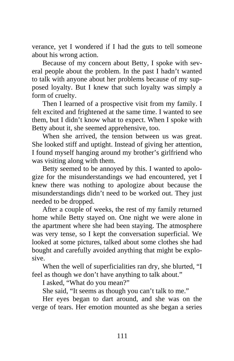verance, yet I wondered if I had the guts to tell someone about his wrong action.

Because of my concern about Betty, I spoke with several people about the problem. In the past I hadn't wanted to talk with anyone about her problems because of my supposed loyalty. But I knew that such loyalty was simply a form of cruelty.

Then I learned of a prospective visit from my family. I felt excited and frightened at the same time. I wanted to see them, but I didn't know what to expect. When I spoke with Betty about it, she seemed apprehensive, too.

When she arrived, the tension between us was great. She looked stiff and uptight. Instead of giving her attention, I found myself hanging around my brother's girlfriend who was visiting along with them.

Betty seemed to be annoyed by this. I wanted to apologize for the misunderstandings we had encountered, yet I knew there was nothing to apologize about because the misunderstandings didn't need to be worked out. They just needed to be dropped.

After a couple of weeks, the rest of my family returned home while Betty stayed on. One night we were alone in the apartment where she had been staying. The atmosphere was very tense, so I kept the conversation superficial. We looked at some pictures, talked about some clothes she had bought and carefully avoided anything that might be explosive.

When the well of superficialities ran dry, she blurted, "I feel as though we don't have anything to talk about."

I asked, "What do you mean?"

She said, "It seems as though you can't talk to me."

Her eyes began to dart around, and she was on the verge of tears. Her emotion mounted as she began a series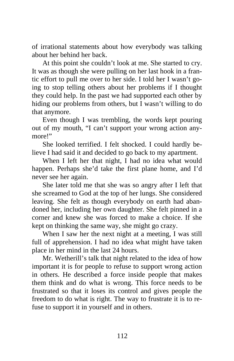of irrational statements about how everybody was talking about her behind her back.

At this point she couldn't look at me. She started to cry. It was as though she were pulling on her last hook in a frantic effort to pull me over to her side. I told her I wasn't going to stop telling others about her problems if I thought they could help. In the past we had supported each other by hiding our problems from others, but I wasn't willing to do that anymore.

Even though I was trembling, the words kept pouring out of my mouth, "I can't support your wrong action anymore!"

She looked terrified. I felt shocked. I could hardly believe I had said it and decided to go back to my apartment.

When I left her that night, I had no idea what would happen. Perhaps she'd take the first plane home, and I'd never see her again.

She later told me that she was so angry after I left that she screamed to God at the top of her lungs. She considered leaving. She felt as though everybody on earth had abandoned her, including her own daughter. She felt pinned in a corner and knew she was forced to make a choice. If she kept on thinking the same way, she might go crazy.

When I saw her the next night at a meeting, I was still full of apprehension. I had no idea what might have taken place in her mind in the last 24 hours.

Mr. Wetherill's talk that night related to the idea of how important it is for people to refuse to support wrong action in others. He described a force inside people that makes them think and do what is wrong. This force needs to be frustrated so that it loses its control and gives people the freedom to do what is right. The way to frustrate it is to refuse to support it in yourself and in others.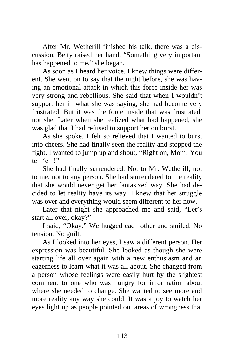After Mr. Wetherill finished his talk, there was a discussion. Betty raised her hand. "Something very important has happened to me," she began.

As soon as I heard her voice, I knew things were different. She went on to say that the night before, she was having an emotional attack in which this force inside her was very strong and rebellious. She said that when I wouldn't support her in what she was saying, she had become very frustrated. But it was the force inside that was frustrated, not she. Later when she realized what had happened, she was glad that I had refused to support her outburst.

As she spoke, I felt so relieved that I wanted to burst into cheers. She had finally seen the reality and stopped the fight. I wanted to jump up and shout, "Right on, Mom! You tell 'em!"

She had finally surrendered. Not to Mr. Wetherill, not to me, not to any person. She had surrendered to the reality that she would never get her fantasized way. She had decided to let reality have its way. I knew that her struggle was over and everything would seem different to her now.

Later that night she approached me and said, "Let's start all over, okay?"

I said, "Okay." We hugged each other and smiled. No tension. No guilt.

As I looked into her eyes, I saw a different person. Her expression was beautiful. She looked as though she were starting life all over again with a new enthusiasm and an eagerness to learn what it was all about. She changed from a person whose feelings were easily hurt by the slightest comment to one who was hungry for information about where she needed to change. She wanted to see more and more reality any way she could. It was a joy to watch her eyes light up as people pointed out areas of wrongness that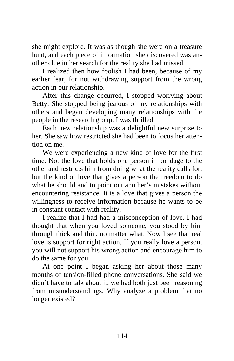she might explore. It was as though she were on a treasure hunt, and each piece of information she discovered was another clue in her search for the reality she had missed.

I realized then how foolish I had been, because of my earlier fear, for not withdrawing support from the wrong action in our relationship.

After this change occurred, I stopped worrying about Betty. She stopped being jealous of my relationships with others and began developing many relationships with the people in the research group. I was thrilled.

Each new relationship was a delightful new surprise to her. She saw how restricted she had been to focus her attention on me.

We were experiencing a new kind of love for the first time. Not the love that holds one person in bondage to the other and restricts him from doing what the reality calls for, but the kind of love that gives a person the freedom to do what he should and to point out another's mistakes without encountering resistance. It is a love that gives a person the willingness to receive information because he wants to be in constant contact with reality.

I realize that I had had a misconception of love. I had thought that when you loved someone, you stood by him through thick and thin, no matter what. Now I see that real love is support for right action. If you really love a person, you will not support his wrong action and encourage him to do the same for you.

At one point I began asking her about those many months of tension-filled phone conversations. She said we didn't have to talk about it; we had both just been reasoning from misunderstandings. Why analyze a problem that no longer existed?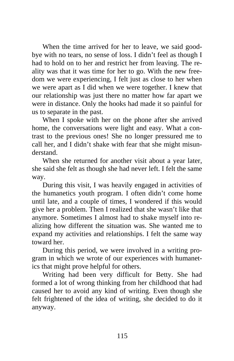When the time arrived for her to leave, we said goodbye with no tears, no sense of loss. I didn't feel as though I had to hold on to her and restrict her from leaving. The reality was that it was time for her to go. With the new freedom we were experiencing, I felt just as close to her when we were apart as I did when we were together. I knew that our relationship was just there no matter how far apart we were in distance. Only the hooks had made it so painful for us to separate in the past.

When I spoke with her on the phone after she arrived home, the conversations were light and easy. What a contrast to the previous ones! She no longer pressured me to call her, and I didn't shake with fear that she might misunderstand.

When she returned for another visit about a year later, she said she felt as though she had never left. I felt the same way.

During this visit, I was heavily engaged in activities of the humanetics youth program. I often didn't come home until late, and a couple of times, I wondered if this would give her a problem. Then I realized that she wasn't like that anymore. Sometimes I almost had to shake myself into realizing how different the situation was. She wanted me to expand my activities and relationships. I felt the same way toward her.

During this period, we were involved in a writing program in which we wrote of our experiences with humanetics that might prove helpful for others.

Writing had been very difficult for Betty. She had formed a lot of wrong thinking from her childhood that had caused her to avoid any kind of writing. Even though she felt frightened of the idea of writing, she decided to do it anyway.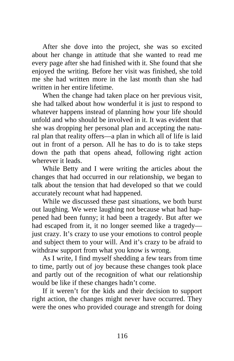After she dove into the project, she was so excited about her change in attitude that she wanted to read me every page after she had finished with it. She found that she enjoyed the writing. Before her visit was finished, she told me she had written more in the last month than she had written in her entire lifetime.

When the change had taken place on her previous visit, she had talked about how wonderful it is just to respond to whatever happens instead of planning how your life should unfold and who should be involved in it. It was evident that she was dropping her personal plan and accepting the natural plan that reality offers—a plan in which all of life is laid out in front of a person. All he has to do is to take steps down the path that opens ahead, following right action wherever it leads.

While Betty and I were writing the articles about the changes that had occurred in our relationship, we began to talk about the tension that had developed so that we could accurately recount what had happened.

While we discussed these past situations, we both burst out laughing. We were laughing not because what had happened had been funny; it had been a tragedy. But after we had escaped from it, it no longer seemed like a tragedy just crazy. It's crazy to use your emotions to control people and subject them to your will. And it's crazy to be afraid to withdraw support from what you know is wrong.

As I write, I find myself shedding a few tears from time to time, partly out of joy because these changes took place and partly out of the recognition of what our relationship would be like if these changes hadn't come.

If it weren't for the kids and their decision to support right action, the changes might never have occurred. They were the ones who provided courage and strength for doing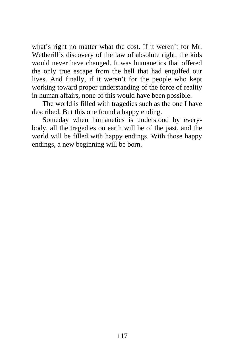what's right no matter what the cost. If it weren't for Mr. Wetherill's discovery of the law of absolute right, the kids would never have changed. It was humanetics that offered the only true escape from the hell that had engulfed our lives. And finally, if it weren't for the people who kept working toward proper understanding of the force of reality in human affairs, none of this would have been possible.

The world is filled with tragedies such as the one I have described. But this one found a happy ending.

Someday when humanetics is understood by everybody, all the tragedies on earth will be of the past, and the world will be filled with happy endings. With those happy endings, a new beginning will be born.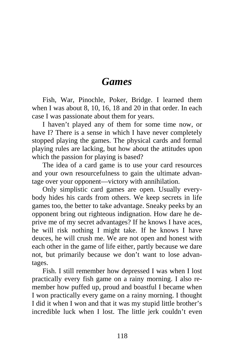## *Games*

Fish, War, Pinochle, Poker, Bridge. I learned them when I was about 8, 10, 16, 18 and 20 in that order. In each case I was passionate about them for years.

I haven't played any of them for some time now, or have I? There is a sense in which I have never completely stopped playing the games. The physical cards and formal playing rules are lacking, but how about the attitudes upon which the passion for playing is based?

The idea of a card game is to use your card resources and your own resourcefulness to gain the ultimate advantage over your opponent—victory with annihilation.

Only simplistic card games are open. Usually everybody hides his cards from others. We keep secrets in life games too, the better to take advantage. Sneaky peeks by an opponent bring out righteous indignation. How dare he deprive me of my secret advantages? If he knows I have aces, he will risk nothing I might take. If he knows I have deuces, he will crush me. We are not open and honest with each other in the game of life either, partly because we dare not, but primarily because we don't want to lose advantages.

Fish. I still remember how depressed I was when I lost practically every fish game on a rainy morning. I also remember how puffed up, proud and boastful I became when I won practically every game on a rainy morning. I thought I did it when I won and that it was my stupid little brother's incredible luck when I lost. The little jerk couldn't even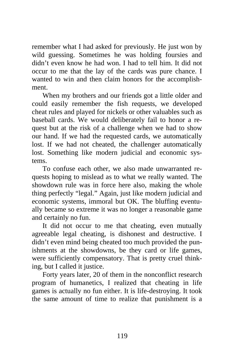remember what I had asked for previously. He just won by wild guessing. Sometimes he was holding foursies and didn't even know he had won. I had to tell him. It did not occur to me that the lay of the cards was pure chance. I wanted to win and then claim honors for the accomplishment.

When my brothers and our friends got a little older and could easily remember the fish requests, we developed cheat rules and played for nickels or other valuables such as baseball cards. We would deliberately fail to honor a request but at the risk of a challenge when we had to show our hand. If we had the requested cards, we automatically lost. If we had not cheated, the challenger automatically lost. Something like modern judicial and economic systems.

To confuse each other, we also made unwarranted requests hoping to mislead as to what we really wanted. The showdown rule was in force here also, making the whole thing perfectly "legal." Again, just like modern judicial and economic systems, immoral but OK. The bluffing eventually became so extreme it was no longer a reasonable game and certainly no fun.

It did not occur to me that cheating, even mutually agreeable legal cheating, is dishonest and destructive. I didn't even mind being cheated too much provided the punishments at the showdowns, be they card or life games, were sufficiently compensatory. That is pretty cruel thinking, but I called it justice.

Forty years later, 20 of them in the nonconflict research program of humanetics, I realized that cheating in life games is actually no fun either. It is life-destroying. It took the same amount of time to realize that punishment is a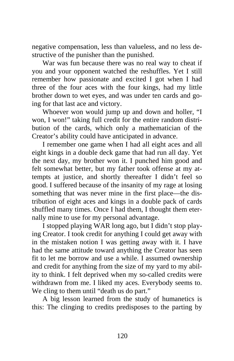negative compensation, less than valueless, and no less destructive of the punisher than the punished.

War was fun because there was no real way to cheat if you and your opponent watched the reshuffles. Yet I still remember how passionate and excited I got when I had three of the four aces with the four kings, had my little brother down to wet eyes, and was under ten cards and going for that last ace and victory.

Whoever won would jump up and down and holler, "I won, I won!" taking full credit for the entire random distribution of the cards, which only a mathematician of the Creator's ability could have anticipated in advance.

I remember one game when I had all eight aces and all eight kings in a double deck game that had run all day. Yet the next day, my brother won it. I punched him good and felt somewhat better, but my father took offense at my attempts at justice, and shortly thereafter I didn't feel so good. I suffered because of the insanity of my rage at losing something that was never mine in the first place—the distribution of eight aces and kings in a double pack of cards shuffled many times. Once I had them, I thought them eternally mine to use for my personal advantage.

I stopped playing WAR long ago, but I didn't stop playing Creator. I took credit for anything I could get away with in the mistaken notion I was getting away with it. I have had the same attitude toward anything the Creator has seen fit to let me borrow and use a while. I assumed ownership and credit for anything from the size of my yard to my ability to think. I felt deprived when my so-called credits were withdrawn from me. I liked my aces. Everybody seems to. We cling to them until "death us do part."

A big lesson learned from the study of humanetics is this: The clinging to credits predisposes to the parting by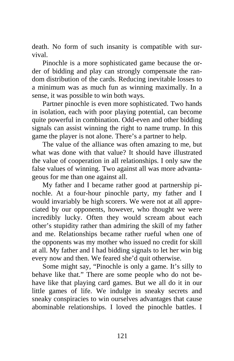death. No form of such insanity is compatible with survival.

Pinochle is a more sophisticated game because the order of bidding and play can strongly compensate the random distribution of the cards. Reducing inevitable losses to a minimum was as much fun as winning maximally. In a sense, it was possible to win both ways.

Partner pinochle is even more sophisticated. Two hands in isolation, each with poor playing potential, can become quite powerful in combination. Odd-even and other bidding signals can assist winning the right to name trump. In this game the player is not alone. There's a partner to help.

The value of the alliance was often amazing to me, but what was done with that value? It should have illustrated the value of cooperation in all relationships. I only saw the false values of winning. Two against all was more advantageous for me than one against all.

My father and I became rather good at partnership pinochle. At a four-hour pinochle party, my father and I would invariably be high scorers. We were not at all appreciated by our opponents, however, who thought we were incredibly lucky. Often they would scream about each other's stupidity rather than admiring the skill of my father and me. Relationships became rather rueful when one of the opponents was my mother who issued no credit for skill at all. My father and I had bidding signals to let her win big every now and then. We feared she'd quit otherwise.

Some might say, "Pinochle is only a game. It's silly to behave like that." There are some people who do not behave like that playing card games. But we all do it in our little games of life. We indulge in sneaky secrets and sneaky conspiracies to win ourselves advantages that cause abominable relationships. I loved the pinochle battles. I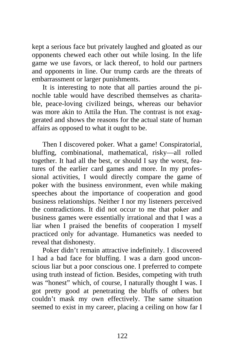kept a serious face but privately laughed and gloated as our opponents chewed each other out while losing. In the life game we use favors, or lack thereof, to hold our partners and opponents in line. Our trump cards are the threats of embarrassment or larger punishments.

It is interesting to note that all parties around the pinochle table would have described themselves as charitable, peace-loving civilized beings, whereas our behavior was more akin to Attila the Hun. The contrast is not exaggerated and shows the reasons for the actual state of human affairs as opposed to what it ought to be.

Then I discovered poker. What a game! Conspiratorial, bluffing, combinational, mathematical, risky—all rolled together. It had all the best, or should I say the worst, features of the earlier card games and more. In my professional activities, I would directly compare the game of poker with the business environment, even while making speeches about the importance of cooperation and good business relationships. Neither I nor my listeners perceived the contradictions. It did not occur to me that poker and business games were essentially irrational and that I was a liar when I praised the benefits of cooperation I myself practiced only for advantage. Humanetics was needed to reveal that dishonesty.

Poker didn't remain attractive indefinitely. I discovered I had a bad face for bluffing. I was a darn good unconscious liar but a poor conscious one. I preferred to compete using truth instead of fiction. Besides, competing with truth was "honest" which, of course, I naturally thought I was. I got pretty good at penetrating the bluffs of others but couldn't mask my own effectively. The same situation seemed to exist in my career, placing a ceiling on how far I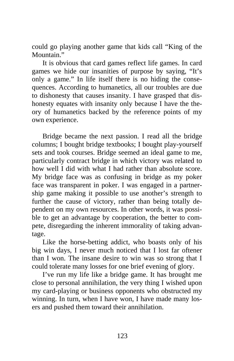could go playing another game that kids call "King of the Mountain."

It is obvious that card games reflect life games. In card games we hide our insanities of purpose by saying, "It's only a game." In life itself there is no hiding the consequences. According to humanetics, all our troubles are due to dishonesty that causes insanity. I have grasped that dishonesty equates with insanity only because I have the theory of humanetics backed by the reference points of my own experience.

Bridge became the next passion. I read all the bridge columns; I bought bridge textbooks; I bought play-yourself sets and took courses. Bridge seemed an ideal game to me, particularly contract bridge in which victory was related to how well I did with what I had rather than absolute score. My bridge face was as confusing in bridge as my poker face was transparent in poker. I was engaged in a partnership game making it possible to use another's strength to further the cause of victory, rather than being totally dependent on my own resources. In other words, it was possible to get an advantage by cooperation, the better to compete, disregarding the inherent immorality of taking advantage.

Like the horse-betting addict, who boasts only of his big win days, I never much noticed that I lost far oftener than I won. The insane desire to win was so strong that I could tolerate many losses for one brief evening of glory.

I've run my life like a bridge game. It has brought me close to personal annihilation, the very thing I wished upon my card-playing or business opponents who obstructed my winning. In turn, when I have won, I have made many losers and pushed them toward their annihilation.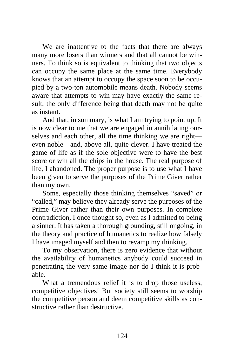We are inattentive to the facts that there are always many more losers than winners and that all cannot be winners. To think so is equivalent to thinking that two objects can occupy the same place at the same time. Everybody knows that an attempt to occupy the space soon to be occupied by a two-ton automobile means death. Nobody seems aware that attempts to win may have exactly the same result, the only difference being that death may not be quite as instant.

And that, in summary, is what I am trying to point up. It is now clear to me that we are engaged in annihilating ourselves and each other, all the time thinking we are right even noble—and, above all, quite clever. I have treated the game of life as if the sole objective were to have the best score or win all the chips in the house. The real purpose of life, I abandoned. The proper purpose is to use what I have been given to serve the purposes of the Prime Giver rather than my own.

Some, especially those thinking themselves "saved" or "called," may believe they already serve the purposes of the Prime Giver rather than their own purposes. In complete contradiction, I once thought so, even as I admitted to being a sinner. It has taken a thorough grounding, still ongoing, in the theory and practice of humanetics to realize how falsely I have imaged myself and then to revamp my thinking.

To my observation, there is zero evidence that without the availability of humanetics anybody could succeed in penetrating the very same image nor do I think it is probable.

What a tremendous relief it is to drop those useless, competitive objectives! But society still seems to worship the competitive person and deem competitive skills as constructive rather than destructive.